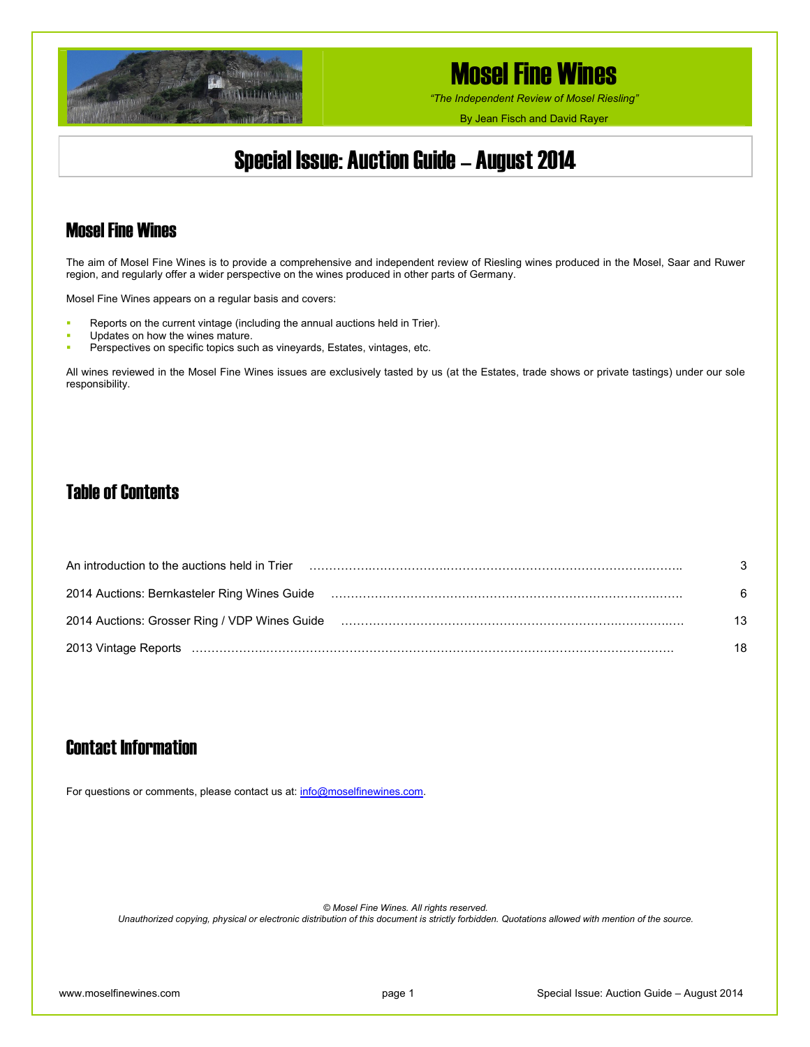

*"The Independent Review of Mosel Riesling"*

By Jean Fisch and David Rayer

## Special Issue: Auction Guide – August 2014

### Mosel Fine Wines

The aim of Mosel Fine Wines is to provide a comprehensive and independent review of Riesling wines produced in the Mosel, Saar and Ruwer region, and regularly offer a wider perspective on the wines produced in other parts of Germany.

Mosel Fine Wines appears on a regular basis and covers:

- Reports on the current vintage (including the annual auctions held in Trier).
- Updates on how the wines mature.
- Perspectives on specific topics such as vineyards, Estates, vintages, etc.

All wines reviewed in the Mosel Fine Wines issues are exclusively tasted by us (at the Estates, trade shows or private tastings) under our sole responsibility.

### Table of Contents

| An introduction to the auctions held in Trier                                                                 | 3  |
|---------------------------------------------------------------------------------------------------------------|----|
| 2014 Auctions: Bernkasteler Ring Wines Guide (and the content of the content of the content of the content of | 6  |
| 2014 Auctions: Grosser Ring / VDP Wines Guide (and accordinational contracts) and according to 2014 Auctions: | 13 |
|                                                                                                               | 18 |

### Contact Information

For questions or comments, please contact us at: [info@moselfinewines.com](mailto:info@moselfinewines.com).

*© Mosel Fine Wines. All rights reserved.* 

*Unauthorized copying, physical or electronic distribution of this document is strictly forbidden. Quotations allowed with mention of the source.*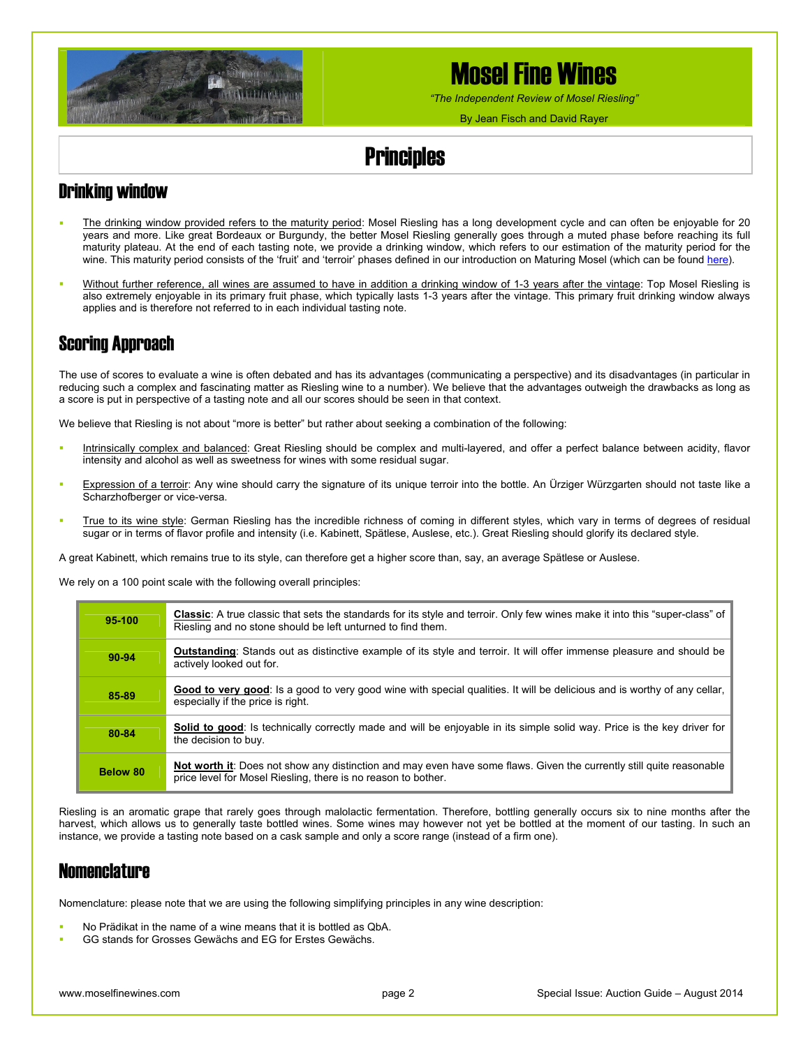

*"The Independent Review of Mosel Riesling"*

By Jean Fisch and David Rayer

# **Principles**

### Drinking window

- The drinking window provided refers to the maturity period: Mosel Riesling has a long development cycle and can often be enjoyable for 20 years and more. Like great Bordeaux or Burgundy, the better Mosel Riesling generally goes through a muted phase before reaching its full maturity plateau. At the end of each tasting note, we provide a drinking window, which refers to our estimation of the maturity period for the wine. This maturity period consists of the 'fruit' and 'terroir' phases defined in our introduction on Maturing Mosel (which can be found [here\)](http://www.moselfinewines.com/MaturingMosel.htm).
- Without further reference, all wines are assumed to have in addition a drinking window of 1-3 years after the vintage: Top Mosel Riesling is also extremely enjoyable in its primary fruit phase, which typically lasts 1-3 years after the vintage. This primary fruit drinking window always applies and is therefore not referred to in each individual tasting note.

### Scoring Approach

The use of scores to evaluate a wine is often debated and has its advantages (communicating a perspective) and its disadvantages (in particular in reducing such a complex and fascinating matter as Riesling wine to a number). We believe that the advantages outweigh the drawbacks as long as a score is put in perspective of a tasting note and all our scores should be seen in that context.

We believe that Riesling is not about "more is better" but rather about seeking a combination of the following:

- Intrinsically complex and balanced: Great Riesling should be complex and multi-layered, and offer a perfect balance between acidity, flavor intensity and alcohol as well as sweetness for wines with some residual sugar.
- Expression of a terroir: Any wine should carry the signature of its unique terroir into the bottle. An Ürziger Würzgarten should not taste like a Scharzhofberger or vice-versa.
- True to its wine style: German Riesling has the incredible richness of coming in different styles, which vary in terms of degrees of residual sugar or in terms of flavor profile and intensity (i.e. Kabinett, Spätlese, Auslese, etc.). Great Riesling should glorify its declared style.

A great Kabinett, which remains true to its style, can therefore get a higher score than, say, an average Spätlese or Auslese.

We rely on a 100 point scale with the following overall principles:

| 95-100   | Classic: A true classic that sets the standards for its style and terroir. Only few wines make it into this "super-class" of<br>Riesling and no stone should be left unturned to find them. |
|----------|---------------------------------------------------------------------------------------------------------------------------------------------------------------------------------------------|
| 90-94    | <b>Outstanding:</b> Stands out as distinctive example of its style and terroir. It will offer immense pleasure and should be<br>actively looked out for.                                    |
| 85-89    | Good to very good: Is a good to very good wine with special gualities. It will be delicious and is worthy of any cellar,<br>especially if the price is right.                               |
| 80-84    | Solid to good: Is technically correctly made and will be enjoyable in its simple solid way. Price is the key driver for<br>the decision to buy.                                             |
| Below 80 | Not worth it: Does not show any distinction and may even have some flaws. Given the currently still quite reasonable<br>price level for Mosel Riesling, there is no reason to bother.       |

Riesling is an aromatic grape that rarely goes through malolactic fermentation. Therefore, bottling generally occurs six to nine months after the harvest, which allows us to generally taste bottled wines. Some wines may however not yet be bottled at the moment of our tasting. In such an instance, we provide a tasting note based on a cask sample and only a score range (instead of a firm one).

### **Nomenclature**

Nomenclature: please note that we are using the following simplifying principles in any wine description:

- No Prädikat in the name of a wine means that it is bottled as QbA.
- GG stands for Grosses Gewächs and EG for Erstes Gewächs.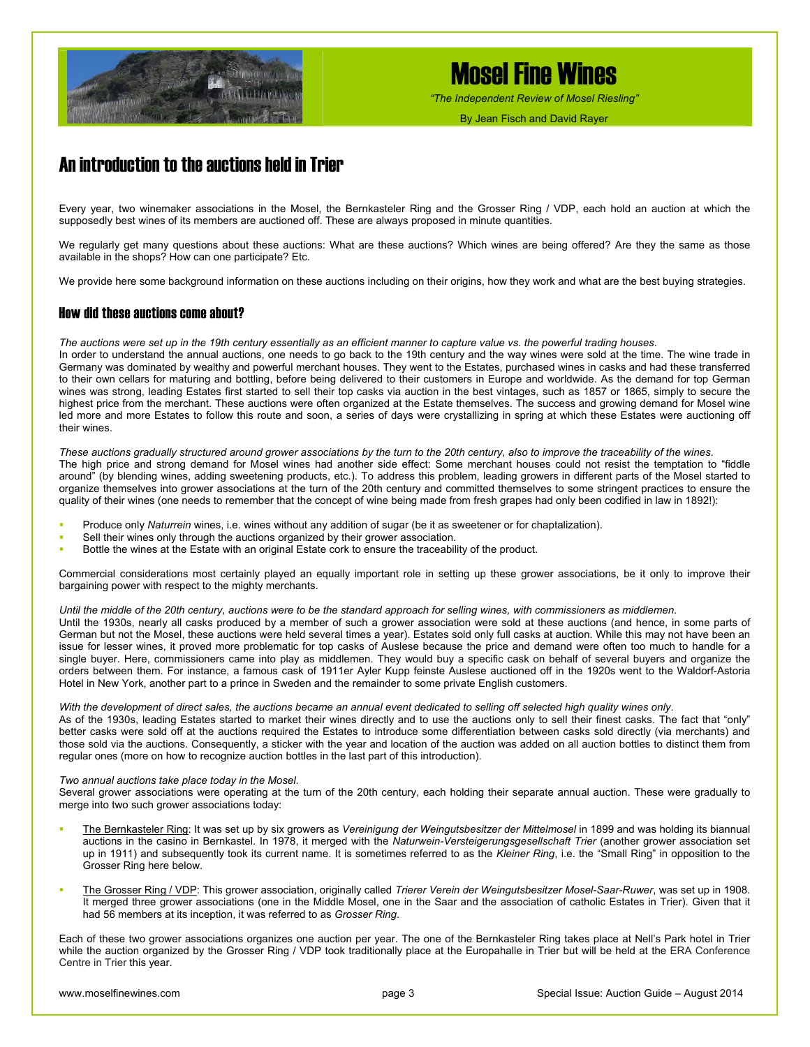

*"The Independent Review of Mosel Riesling"*

By Jean Fisch and David Rayer

### An introduction to the auctions held in Trier

Every year, two winemaker associations in the Mosel, the Bernkasteler Ring and the Grosser Ring / VDP, each hold an auction at which the supposedly best wines of its members are auctioned off. These are always proposed in minute quantities.

We regularly get many questions about these auctions: What are these auctions? Which wines are being offered? Are they the same as those available in the shops? How can one participate? Etc.

We provide here some background information on these auctions including on their origins, how they work and what are the best buying strategies.

#### How did these auctions come about?

*The auctions were set up in the 19th century essentially as an efficient manner to capture value vs. the powerful trading houses*.

In order to understand the annual auctions, one needs to go back to the 19th century and the way wines were sold at the time. The wine trade in Germany was dominated by wealthy and powerful merchant houses. They went to the Estates, purchased wines in casks and had these transferred to their own cellars for maturing and bottling, before being delivered to their customers in Europe and worldwide. As the demand for top German wines was strong, leading Estates first started to sell their top casks via auction in the best vintages, such as 1857 or 1865, simply to secure the highest price from the merchant. These auctions were often organized at the Estate themselves. The success and growing demand for Mosel wine led more and more Estates to follow this route and soon, a series of days were crystallizing in spring at which these Estates were auctioning off their wines.

*These auctions gradually structured around grower associations by the turn to the 20th century, also to improve the traceability of the wines*. The high price and strong demand for Mosel wines had another side effect: Some merchant houses could not resist the temptation to "fiddle around" (by blending wines, adding sweetening products, etc.). To address this problem, leading growers in different parts of the Mosel started to organize themselves into grower associations at the turn of the 20th century and committed themselves to some stringent practices to ensure the quality of their wines (one needs to remember that the concept of wine being made from fresh grapes had only been codified in law in 1892!):

- Produce only *Naturrein* wines, i.e. wines without any addition of sugar (be it as sweetener or for chaptalization).
- Sell their wines only through the auctions organized by their grower association.
- Bottle the wines at the Estate with an original Estate cork to ensure the traceability of the product.

Commercial considerations most certainly played an equally important role in setting up these grower associations, be it only to improve their bargaining power with respect to the mighty merchants.

#### *Until the middle of the 20th century, auctions were to be the standard approach for selling wines, with commissioners as middlemen*.

Until the 1930s, nearly all casks produced by a member of such a grower association were sold at these auctions (and hence, in some parts of German but not the Mosel, these auctions were held several times a year). Estates sold only full casks at auction. While this may not have been an issue for lesser wines, it proved more problematic for top casks of Auslese because the price and demand were often too much to handle for a single buyer. Here, commissioners came into play as middlemen. They would buy a specific cask on behalf of several buyers and organize the orders between them. For instance, a famous cask of 1911er Ayler Kupp feinste Auslese auctioned off in the 1920s went to the Waldorf-Astoria Hotel in New York, another part to a prince in Sweden and the remainder to some private English customers.

#### *With the development of direct sales, the auctions became an annual event dedicated to selling off selected high quality wines only*.

As of the 1930s, leading Estates started to market their wines directly and to use the auctions only to sell their finest casks. The fact that "only" better casks were sold off at the auctions required the Estates to introduce some differentiation between casks sold directly (via merchants) and those sold via the auctions. Consequently, a sticker with the year and location of the auction was added on all auction bottles to distinct them from regular ones (more on how to recognize auction bottles in the last part of this introduction).

#### *Two annual auctions take place today in the Mosel.*

Several grower associations were operating at the turn of the 20th century, each holding their separate annual auction. These were gradually to merge into two such grower associations today:

- The Bernkasteler Ring: It was set up by six growers as *Vereinigung der Weingutsbesitzer der Mittelmosel* in 1899 and was holding its biannual auctions in the casino in Bernkastel. In 1978, it merged with the *Naturwein-Versteigerungsgesellschaft Trier* (another grower association set up in 1911) and subsequently took its current name. It is sometimes referred to as the *Kleiner Ring*, i.e. the "Small Ring" in opposition to the Grosser Ring here below.
- The Grosser Ring / VDP: This grower association, originally called *Trierer Verein der Weingutsbesitzer Mosel-Saar-Ruwer*, was set up in 1908. It merged three grower associations (one in the Middle Mosel, one in the Saar and the association of catholic Estates in Trier). Given that it had 56 members at its inception, it was referred to as *Grosser Ring*.

Each of these two grower associations organizes one auction per year. The one of the Bernkasteler Ring takes place at Nell's Park hotel in Trier while the auction organized by the Grosser Ring / VDP took traditionally place at the Europahalle in Trier but will be held at the ERA Conference Centre in Trier this year.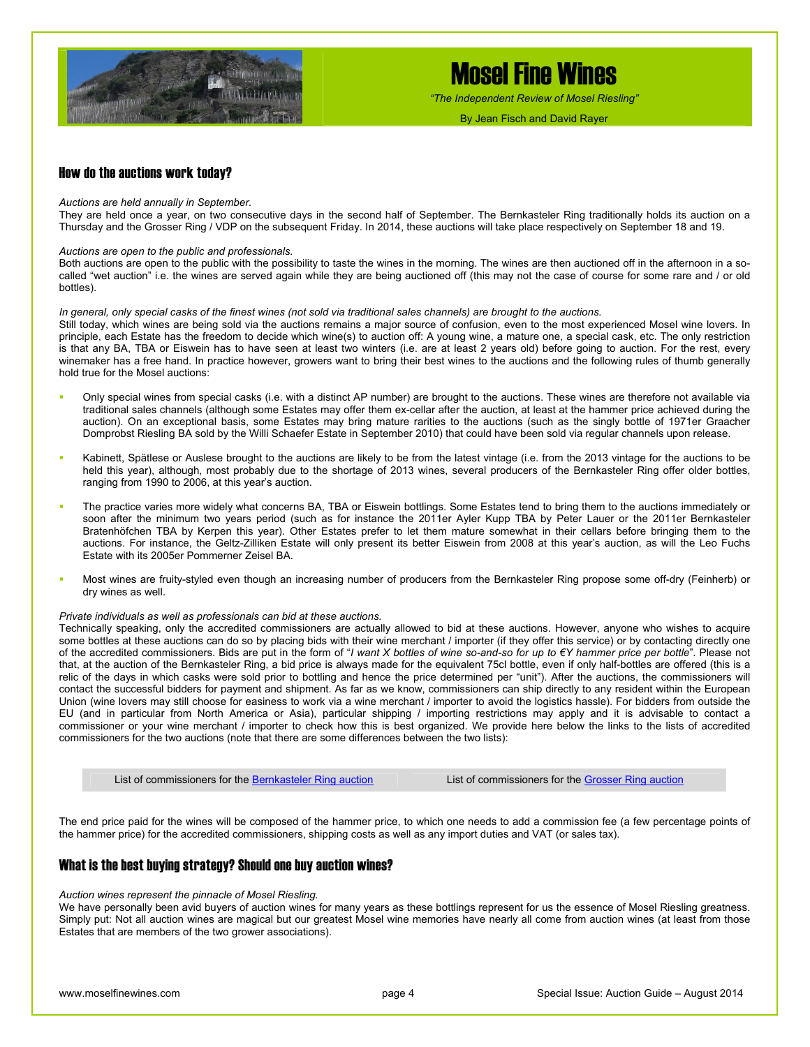

*"The Independent Review of Mosel Riesling"*

By Jean Fisch and David Rayer

#### How do the auctions work today?

#### *Auctions are held annually in September.*

They are held once a year, on two consecutive days in the second half of September. The Bernkasteler Ring traditionally holds its auction on a Thursday and the Grosser Ring / VDP on the subsequent Friday. In 2014, these auctions will take place respectively on September 18 and 19.

#### *Auctions are open to the public and professionals.*

Both auctions are open to the public with the possibility to taste the wines in the morning. The wines are then auctioned off in the afternoon in a socalled "wet auction" i.e. the wines are served again while they are being auctioned off (this may not the case of course for some rare and / or old bottles).

#### *In general, only special casks of the finest wines (not sold via traditional sales channels) are brought to the auctions.*

Still today, which wines are being sold via the auctions remains a major source of confusion, even to the most experienced Mosel wine lovers. In principle, each Estate has the freedom to decide which wine(s) to auction off: A young wine, a mature one, a special cask, etc. The only restriction is that any BA, TBA or Eiswein has to have seen at least two winters (i.e. are at least 2 years old) before going to auction. For the rest, every winemaker has a free hand. In practice however, growers want to bring their best wines to the auctions and the following rules of thumb generally hold true for the Mosel auctions:

- Only special wines from special casks (i.e. with a distinct AP number) are brought to the auctions. These wines are therefore not available via traditional sales channels (although some Estates may offer them ex-cellar after the auction, at least at the hammer price achieved during the auction). On an exceptional basis, some Estates may bring mature rarities to the auctions (such as the singly bottle of 1971er Graacher Domprobst Riesling BA sold by the Willi Schaefer Estate in September 2010) that could have been sold via regular channels upon release.
- Kabinett, Spätlese or Auslese brought to the auctions are likely to be from the latest vintage (i.e. from the 2013 vintage for the auctions to be held this year), although, most probably due to the shortage of 2013 wines, several producers of the Bernkasteler Ring offer older bottles, ranging from 1990 to 2006, at this year's auction.
- The practice varies more widely what concerns BA, TBA or Eiswein bottlings. Some Estates tend to bring them to the auctions immediately or soon after the minimum two years period (such as for instance the 2011er Ayler Kupp TBA by Peter Lauer or the 2011er Bernkasteler Bratenhöfchen TBA by Kerpen this year). Other Estates prefer to let them mature somewhat in their cellars before bringing them to the auctions. For instance, the Geltz-Zilliken Estate will only present its better Eiswein from 2008 at this year's auction, as will the Leo Fuchs Estate with its 2005er Pommerner Zeisel BA.
- Most wines are fruity-styled even though an increasing number of producers from the Bernkasteler Ring propose some off-dry (Feinherb) or dry wines as well.

#### *Private individuals as well as professionals can bid at these auctions.*

Technically speaking, only the accredited commissioners are actually allowed to bid at these auctions. However, anyone who wishes to acquire some bottles at these auctions can do so by placing bids with their wine merchant / importer (if they offer this service) or by contacting directly one of the accredited commissioners. Bids are put in the form of "*I want X bottles of wine so-and-so for up to €Y hammer price per bottle*". Please not that, at the auction of the Bernkasteler Ring, a bid price is always made for the equivalent 75cl bottle, even if only half-bottles are offered (this is a relic of the days in which casks were sold prior to bottling and hence the price determined per "unit"). After the auctions, the commissioners will contact the successful bidders for payment and shipment. As far as we know, commissioners can ship directly to any resident within the European Union (wine lovers may still choose for easiness to work via a wine merchant / importer to avoid the logistics hassle). For bidders from outside the EU (and in particular from North America or Asia), particular shipping / importing restrictions may apply and it is advisable to contact a commissioner or your wine merchant / importer to check how this is best organized. We provide here below the links to the lists of accredited commissioners for the two auctions (note that there are some differences between the two lists):

List of commissioners for the [Bernkasteler Ring auction](http://www.bernkasteler-ring.de/images/die_kommissionaere.pdf) List of commissioners for the [Grosser Ring auction](http://www.vdp.de/fileadmin/user_upload/PDF/Veranstaltungen/Versteigerungen/Kommisionaere.pdf)

The end price paid for the wines will be composed of the hammer price, to which one needs to add a commission fee (a few percentage points of the hammer price) for the accredited commissioners, shipping costs as well as any import duties and VAT (or sales tax).

#### What is the best buying strategy? Should one buy auction wines?

#### *Auction wines represent the pinnacle of Mosel Riesling.*

We have personally been avid buyers of auction wines for many years as these bottlings represent for us the essence of Mosel Riesling greatness. Simply put: Not all auction wines are magical but our greatest Mosel wine memories have nearly all come from auction wines (at least from those Estates that are members of the two grower associations).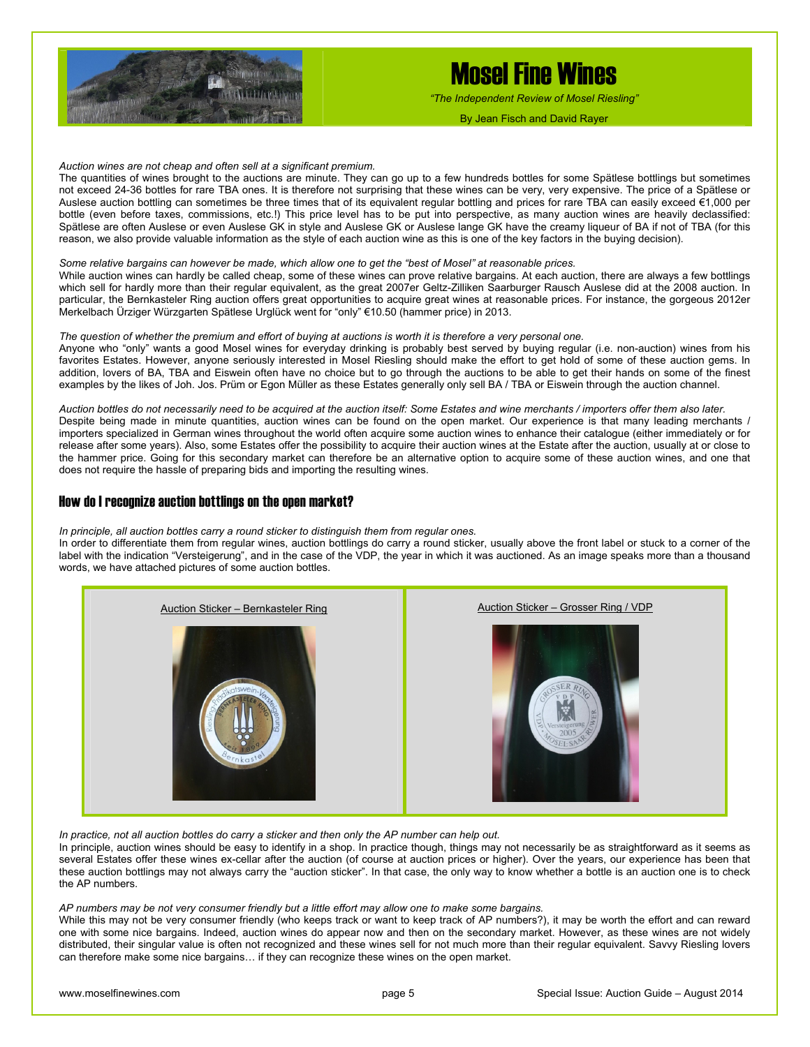

*"The Independent Review of Mosel Riesling"*

By Jean Fisch and David Rayer

*Auction wines are not cheap and often sell at a significant premium.*

The quantities of wines brought to the auctions are minute. They can go up to a few hundreds bottles for some Spätlese bottlings but sometimes not exceed 24-36 bottles for rare TBA ones. It is therefore not surprising that these wines can be very, very expensive. The price of a Spätlese or Auslese auction bottling can sometimes be three times that of its equivalent regular bottling and prices for rare TBA can easily exceed €1,000 per bottle (even before taxes, commissions, etc.!) This price level has to be put into perspective, as many auction wines are heavily declassified: Spätlese are often Auslese or even Auslese GK in style and Auslese GK or Auslese lange GK have the creamy liqueur of BA if not of TBA (for this reason, we also provide valuable information as the style of each auction wine as this is one of the key factors in the buying decision).

#### *Some relative bargains can however be made, which allow one to get the "best of Mosel" at reasonable prices.*

While auction wines can hardly be called cheap, some of these wines can prove relative bargains. At each auction, there are always a few bottlings which sell for hardly more than their regular equivalent, as the great 2007er Geltz-Zilliken Saarburger Rausch Auslese did at the 2008 auction. In particular, the Bernkasteler Ring auction offers great opportunities to acquire great wines at reasonable prices. For instance, the gorgeous 2012er Merkelbach Ürziger Würzgarten Spätlese Urglück went for "only" €10.50 (hammer price) in 2013.

#### *The question of whether the premium and effort of buying at auctions is worth it is therefore a very personal one.*

Anyone who "only" wants a good Mosel wines for everyday drinking is probably best served by buying regular (i.e. non-auction) wines from his favorites Estates. However, anyone seriously interested in Mosel Riesling should make the effort to get hold of some of these auction gems. In addition, lovers of BA, TBA and Eiswein often have no choice but to go through the auctions to be able to get their hands on some of the finest examples by the likes of Joh. Jos. Prüm or Egon Müller as these Estates generally only sell BA / TBA or Eiswein through the auction channel.

*Auction bottles do not necessarily need to be acquired at the auction itself: Some Estates and wine merchants / importers offer them also later.*  Despite being made in minute quantities, auction wines can be found on the open market. Our experience is that many leading merchants / importers specialized in German wines throughout the world often acquire some auction wines to enhance their catalogue (either immediately or for release after some years). Also, some Estates offer the possibility to acquire their auction wines at the Estate after the auction, usually at or close to the hammer price. Going for this secondary market can therefore be an alternative option to acquire some of these auction wines, and one that does not require the hassle of preparing bids and importing the resulting wines.

#### How do I recognize auction bottlings on the open market?

*In principle, all auction bottles carry a round sticker to distinguish them from regular ones.* 

In order to differentiate them from regular wines, auction bottlings do carry a round sticker, usually above the front label or stuck to a corner of the label with the indication "Versteigerung", and in the case of the VDP, the year in which it was auctioned. As an image speaks more than a thousand words, we have attached pictures of some auction bottles.



In practice, not all auction bottles do carry a sticker and then only the AP number can help out.

In principle, auction wines should be easy to identify in a shop. In practice though, things may not necessarily be as straightforward as it seems as several Estates offer these wines ex-cellar after the auction (of course at auction prices or higher). Over the years, our experience has been that these auction bottlings may not always carry the "auction sticker". In that case, the only way to know whether a bottle is an auction one is to check the AP numbers.

*AP numbers may be not very consumer friendly but a little effort may allow one to make some bargains.* 

While this may not be very consumer friendly (who keeps track or want to keep track of AP numbers?), it may be worth the effort and can reward one with some nice bargains. Indeed, auction wines do appear now and then on the secondary market. However, as these wines are not widely distributed, their singular value is often not recognized and these wines sell for not much more than their regular equivalent. Savvy Riesling lovers can therefore make some nice bargains… if they can recognize these wines on the open market.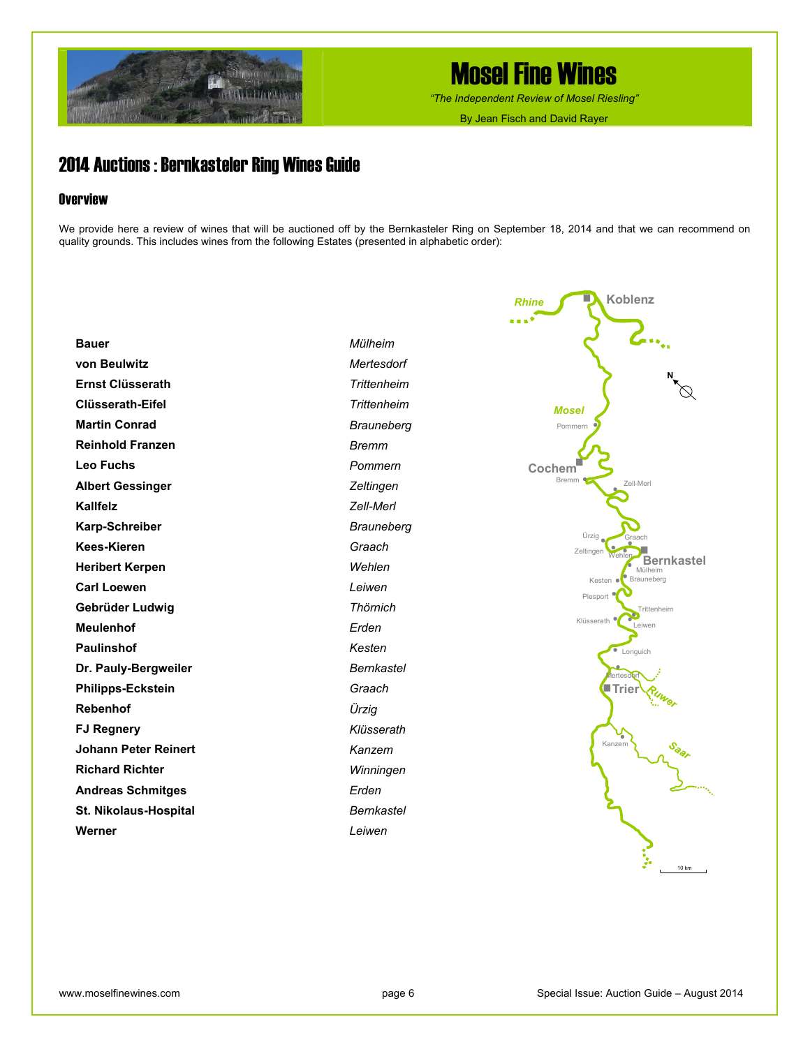

*"The Independent Review of Mosel Riesling"*

By Jean Fisch and David Rayer

### 2014 Auctions : Bernkasteler Ring Wines Guide

#### **Overview**

We provide here a review of wines that will be auctioned off by the Bernkasteler Ring on September 18, 2014 and that we can recommend on quality grounds. This includes wines from the following Estates (presented in alphabetic order):

| <b>Bauer</b>                 | Mülheim           |
|------------------------------|-------------------|
| von Beulwitz                 | Mertesdorf        |
| <b>Ernst Clüsserath</b>      | Trittenheim       |
| Clüsserath-Eifel             | Trittenheim       |
| <b>Martin Conrad</b>         | <b>Brauneberg</b> |
| <b>Reinhold Franzen</b>      | <b>Bremm</b>      |
| <b>Leo Fuchs</b>             | Pommern           |
| <b>Albert Gessinger</b>      | Zeltingen         |
| Kallfelz                     | Zell-Merl         |
| <b>Karp-Schreiber</b>        | <b>Brauneberg</b> |
| Kees-Kieren                  | Graach            |
| <b>Heribert Kerpen</b>       | Wehlen            |
| <b>Carl Loewen</b>           | Leiwen            |
| Gebrüder Ludwig              | Thörnich          |
| <b>Meulenhof</b>             | Erden             |
| <b>Paulinshof</b>            | Kesten            |
| Dr. Pauly-Bergweiler         | <b>Bernkastel</b> |
| <b>Philipps-Eckstein</b>     | Graach            |
| <b>Rebenhof</b>              | Ürzig             |
| <b>FJ Regnery</b>            | Klüsserath        |
| Johann Peter Reinert         | Kanzem            |
| <b>Richard Richter</b>       | Winningen         |
| <b>Andreas Schmitges</b>     | Erden             |
| <b>St. Nikolaus-Hospital</b> | Bernkastel        |
| Werner                       | Leiwen            |

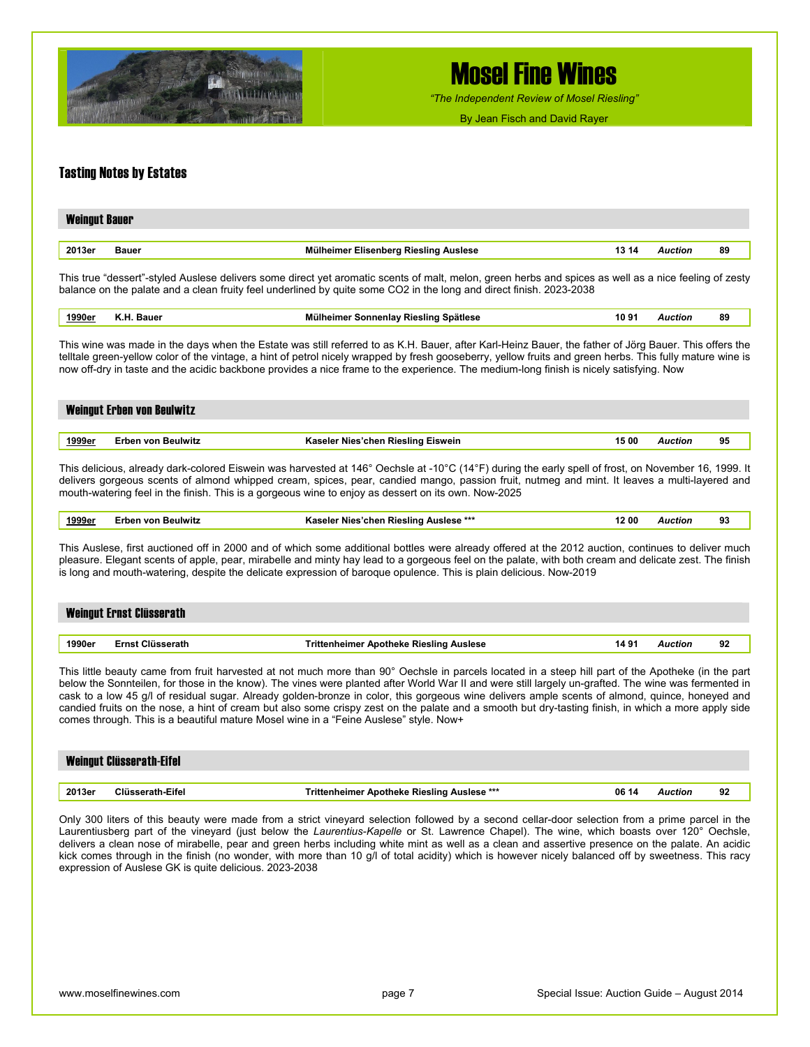

*"The Independent Review of Mosel Riesling"*

By Jean Fisch and David Rayer

#### Tasting Notes by Estates

| <b>Weingut Bauer</b> |       |                                       |       |         |    |
|----------------------|-------|---------------------------------------|-------|---------|----|
|                      |       |                                       |       |         |    |
| 2013er               | Bauer | Mülheimer Elisenberg Riesling Auslese | 13 14 | Auction | 89 |

This true "dessert"-styled Auslese delivers some direct yet aromatic scents of malt, melon, green herbs and spices as well as a nice feeling of zesty balance on the palate and a clean fruity feel underlined by quite some CO2 in the long and direct finish. 2023-2038

| .7.7UF<br>.<br>. |  | aue | .<br>Spatiese<br>sunc<br><b>Jeniav</b> | - 10.91 | וחוי | 89 |
|------------------|--|-----|----------------------------------------|---------|------|----|
|------------------|--|-----|----------------------------------------|---------|------|----|

This wine was made in the days when the Estate was still referred to as K.H. Bauer, after Karl-Heinz Bauer, the father of Jörg Bauer. This offers the telltale green-yellow color of the vintage, a hint of petrol nicely wrapped by fresh gooseberry, yellow fruits and green herbs. This fully mature wine is now off-dry in taste and the acidic backbone provides a nice frame to the experience. The medium-long finish is nicely satisfying. Now

|               | Weingut Erben von Beulwitz |                                                                                                                                                 |       |         |    |
|---------------|----------------------------|-------------------------------------------------------------------------------------------------------------------------------------------------|-------|---------|----|
| <u>1999er</u> | Erben von Beulwitz         | Kaseler Nies'chen Riesling Eiswein                                                                                                              | 15 00 | Auction | 95 |
|               |                            |                                                                                                                                                 |       |         |    |
|               |                            | This deligious almody dark solared Eigusin was benyated at 146° Ocabels at 10°C (14°E) during the sarky anall of froat, an Neyamber 16, 1000, H |       |         |    |

This delicious, already dark-colored Eiswein was harvested at 146° Oechsle at -10°C (14°F) during the early spell of frost, on November 16, 1999. It delivers gorgeous scents of almond whipped cream, spices, pear, candied mango, passion fruit, nutmeg and mint. It leaves a multi-layered and mouth-watering feel in the finish. This is a gorgeous wine to enjoy as dessert on its own. Now-2025

| __<br>.<br>. | 1999er | Beulwitz<br>rhen von | Auslese **<br>. Rieslina<br><b>Nies</b><br><b>Kaseler</b><br>∙cnen | 2 00 | `uction' | 93 |
|--------------|--------|----------------------|--------------------------------------------------------------------|------|----------|----|
|--------------|--------|----------------------|--------------------------------------------------------------------|------|----------|----|

This Auslese, first auctioned off in 2000 and of which some additional bottles were already offered at the 2012 auction, continues to deliver much pleasure. Elegant scents of apple, pear, mirabelle and minty hay lead to a gorgeous feel on the palate, with both cream and delicate zest. The finish is long and mouth-watering, despite the delicate expression of baroque opulence. This is plain delicious. Now-2019

|        | Weingut Ernst Clüsserath |                                         |       |         |    |
|--------|--------------------------|-----------------------------------------|-------|---------|----|
|        |                          |                                         |       |         |    |
| 1990er | <b>Ernst Clüsserath</b>  | Trittenheimer Apotheke Riesling Auslese | 14.9' | Auction | 92 |

This little beauty came from fruit harvested at not much more than 90° Oechsle in parcels located in a steep hill part of the Apotheke (in the part below the Sonnteilen, for those in the know). The vines were planted after World War II and were still largely un-grafted. The wine was fermented in cask to a low 45 g/l of residual sugar. Already golden-bronze in color, this gorgeous wine delivers ample scents of almond, quince, honeyed and candied fruits on the nose, a hint of cream but also some crispy zest on the palate and a smooth but dry-tasting finish, in which a more apply side comes through. This is a beautiful mature Mosel wine in a "Feine Auslese" style. Now+

|        | <b>Weingut Clüsserath-Eifel</b> |                                                    |       |         |    |
|--------|---------------------------------|----------------------------------------------------|-------|---------|----|
| 2013er | Clüsserath-Eifel                | <b>Trittenheimer Apotheke Riesling Auslese ***</b> | 06 14 | Auction | 92 |

Only 300 liters of this beauty were made from a strict vineyard selection followed by a second cellar-door selection from a prime parcel in the Laurentiusberg part of the vineyard (just below the *Laurentius-Kapelle* or St. Lawrence Chapel). The wine, which boasts over 120° Oechsle, delivers a clean nose of mirabelle, pear and green herbs including white mint as well as a clean and assertive presence on the palate. An acidic kick comes through in the finish (no wonder, with more than 10 g/l of total acidity) which is however nicely balanced off by sweetness. This racy expression of Auslese GK is quite delicious. 2023-2038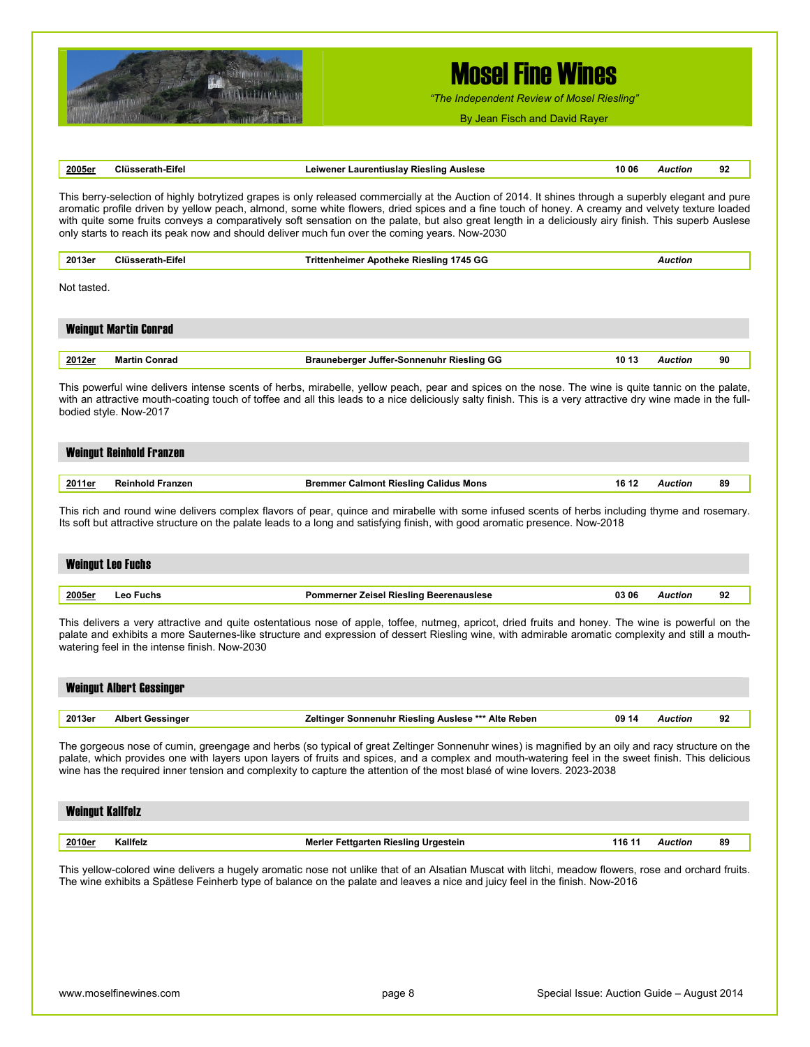

*"The Independent Review of Mosel Riesling"*

By Jean Fisch and David Rayer

| 2005er                  | <b>Clüsserath-Eifel</b>                                                          | Leiwener Laurentiuslay Riesling Auslese                                                                                                                                                                                                                                                                                                                                                                                                                                                                                                                           | 10 06  | <b>Auction</b> | 92 |
|-------------------------|----------------------------------------------------------------------------------|-------------------------------------------------------------------------------------------------------------------------------------------------------------------------------------------------------------------------------------------------------------------------------------------------------------------------------------------------------------------------------------------------------------------------------------------------------------------------------------------------------------------------------------------------------------------|--------|----------------|----|
|                         |                                                                                  | This berry-selection of highly botrytized grapes is only released commercially at the Auction of 2014. It shines through a superbly elegant and pure<br>aromatic profile driven by yellow peach, almond, some white flowers, dried spices and a fine touch of honey. A creamy and velvety texture loaded<br>with quite some fruits conveys a comparatively soft sensation on the palate, but also great length in a deliciously airy finish. This superb Auslese<br>only starts to reach its peak now and should deliver much fun over the coming years. Now-2030 |        |                |    |
| 2013er                  | <b>Clüsserath-Eifel</b>                                                          | <b>Trittenheimer Apotheke Riesling 1745 GG</b>                                                                                                                                                                                                                                                                                                                                                                                                                                                                                                                    |        | <b>Auction</b> |    |
| Not tasted.             |                                                                                  |                                                                                                                                                                                                                                                                                                                                                                                                                                                                                                                                                                   |        |                |    |
|                         | <b>Weingut Martin Conrad</b>                                                     |                                                                                                                                                                                                                                                                                                                                                                                                                                                                                                                                                                   |        |                |    |
| 2012er                  | <b>Martin Conrad</b>                                                             | <b>Brauneberger Juffer-Sonnenuhr Riesling GG</b>                                                                                                                                                                                                                                                                                                                                                                                                                                                                                                                  | 10 13  | <b>Auction</b> | 90 |
|                         | bodied style. Now-2017                                                           | This powerful wine delivers intense scents of herbs, mirabelle, yellow peach, pear and spices on the nose. The wine is quite tannic on the palate,<br>with an attractive mouth-coating touch of toffee and all this leads to a nice deliciously salty finish. This is a very attractive dry wine made in the full-                                                                                                                                                                                                                                                |        |                |    |
|                         | <b>Weingut Reinhold Franzen</b>                                                  |                                                                                                                                                                                                                                                                                                                                                                                                                                                                                                                                                                   |        |                |    |
| 2011er                  | <b>Reinhold Franzen</b>                                                          | <b>Bremmer Calmont Riesling Calidus Mons</b>                                                                                                                                                                                                                                                                                                                                                                                                                                                                                                                      | 16 12  | <b>Auction</b> | 89 |
|                         | <b>Weingut Leo Fuchs</b>                                                         |                                                                                                                                                                                                                                                                                                                                                                                                                                                                                                                                                                   |        |                |    |
| 2005er                  | <b>Leo Fuchs</b>                                                                 | <b>Pommerner Zeisel Riesling Beerenauslese</b>                                                                                                                                                                                                                                                                                                                                                                                                                                                                                                                    | 03 06  | <b>Auction</b> | 92 |
|                         | watering feel in the intense finish. Now-2030<br><b>Weingut Albert Gessinger</b> | This delivers a very attractive and quite ostentatious nose of apple, toffee, nutmeg, apricot, dried fruits and honey. The wine is powerful on the<br>palate and exhibits a more Sauternes-like structure and expression of dessert Riesling wine, with admirable aromatic complexity and still a mouth-                                                                                                                                                                                                                                                          |        |                |    |
| 2013er                  | <b>Albert Gessinger</b>                                                          | Zeltinger Sonnenuhr Riesling Auslese *** Alte Reben                                                                                                                                                                                                                                                                                                                                                                                                                                                                                                               | 09 14  | <b>Auction</b> | 92 |
| <b>Weingut Kallfelz</b> |                                                                                  | The gorgeous nose of cumin, greengage and herbs (so typical of great Zeltinger Sonnenuhr wines) is magnified by an oily and racy structure on the<br>palate, which provides one with layers upon layers of fruits and spices, and a complex and mouth-watering feel in the sweet finish. This delicious<br>wine has the required inner tension and complexity to capture the attention of the most blasé of wine lovers. 2023-2038                                                                                                                                |        |                |    |
| 2010er                  | Kallfelz                                                                         | Merler Fettgarten Riesling Urgestein                                                                                                                                                                                                                                                                                                                                                                                                                                                                                                                              | 116 11 | <b>Auction</b> | 89 |
|                         |                                                                                  |                                                                                                                                                                                                                                                                                                                                                                                                                                                                                                                                                                   |        |                |    |
|                         |                                                                                  | This yellow-colored wine delivers a hugely aromatic nose not unlike that of an Alsatian Muscat with litchi, meadow flowers, rose and orchard fruits.<br>The wine exhibits a Spätlese Feinherb type of balance on the palate and leaves a nice and juicy feel in the finish. Now-2016                                                                                                                                                                                                                                                                              |        |                |    |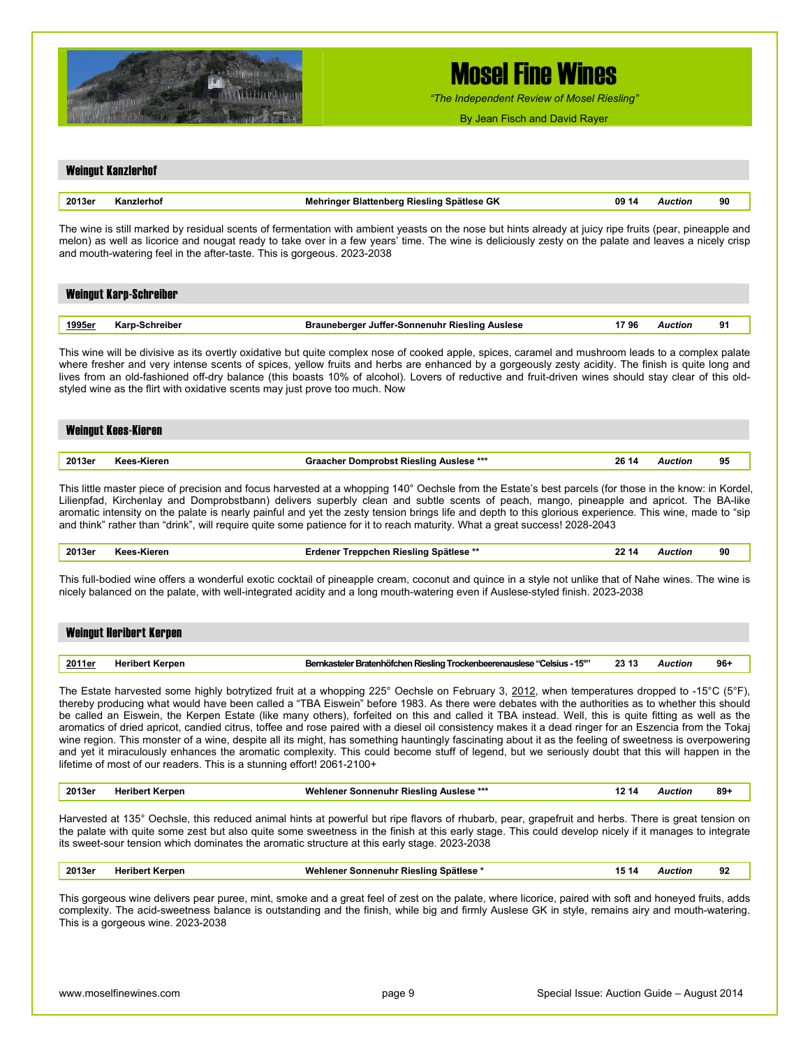

*"The Independent Review of Mosel Riesling"*

By Jean Fisch and David Rayer

| 2013er         | Kanzlerhof                                                                                                                                             | Mehringer Blattenberg Riesling Spätlese GK                                                                                                                                                                                                                                                                                                                                                                                                                                                                                                                                                                                                                                                                                                                                                                                                                                                                                                                                                             | 09 14 | <b>Auction</b> | 90     |
|----------------|--------------------------------------------------------------------------------------------------------------------------------------------------------|--------------------------------------------------------------------------------------------------------------------------------------------------------------------------------------------------------------------------------------------------------------------------------------------------------------------------------------------------------------------------------------------------------------------------------------------------------------------------------------------------------------------------------------------------------------------------------------------------------------------------------------------------------------------------------------------------------------------------------------------------------------------------------------------------------------------------------------------------------------------------------------------------------------------------------------------------------------------------------------------------------|-------|----------------|--------|
|                |                                                                                                                                                        | The wine is still marked by residual scents of fermentation with ambient yeasts on the nose but hints already at juicy ripe fruits (pear, pineapple and<br>melon) as well as licorice and nougat ready to take over in a few years' time. The wine is deliciously zesty on the palate and leaves a nicely crisp<br>and mouth-watering feel in the after-taste. This is gorgeous. 2023-2038                                                                                                                                                                                                                                                                                                                                                                                                                                                                                                                                                                                                             |       |                |        |
|                | <b>Weingut Karp-Schreiber</b>                                                                                                                          |                                                                                                                                                                                                                                                                                                                                                                                                                                                                                                                                                                                                                                                                                                                                                                                                                                                                                                                                                                                                        |       |                |        |
| 1995er         | Karp-Schreiber                                                                                                                                         | <b>Brauneberger Juffer-Sonnenuhr Riesling Auslese</b>                                                                                                                                                                                                                                                                                                                                                                                                                                                                                                                                                                                                                                                                                                                                                                                                                                                                                                                                                  | 1796  | <b>Auction</b> | 91     |
|                |                                                                                                                                                        | This wine will be divisive as its overtly oxidative but quite complex nose of cooked apple, spices, caramel and mushroom leads to a complex palate<br>where fresher and very intense scents of spices, yellow fruits and herbs are enhanced by a gorgeously zesty acidity. The finish is quite long and<br>lives from an old-fashioned off-dry balance (this boasts 10% of alcohol). Lovers of reductive and fruit-driven wines should stay clear of this old-<br>styled wine as the flirt with oxidative scents may just prove too much. Now                                                                                                                                                                                                                                                                                                                                                                                                                                                          |       |                |        |
|                | <b>Weingut Kees-Kieren</b>                                                                                                                             |                                                                                                                                                                                                                                                                                                                                                                                                                                                                                                                                                                                                                                                                                                                                                                                                                                                                                                                                                                                                        |       |                |        |
| 2013er         | Kees-Kieren                                                                                                                                            | Graacher Domprobst Riesling Auslese ***                                                                                                                                                                                                                                                                                                                                                                                                                                                                                                                                                                                                                                                                                                                                                                                                                                                                                                                                                                | 26 14 | <b>Auction</b> | 95     |
|                | This little master piece of precision and focus harvested at a whopping 140° Oechsle from the Estate's best parcels (for those in the know: in Kordel, | Lilienpfad, Kirchenlay and Domprobstbann) delivers superbly clean and subtle scents of peach, mango, pineapple and apricot. The BA-like<br>aromatic intensity on the palate is nearly painful and yet the zesty tension brings life and depth to this glorious experience. This wine, made to "sip                                                                                                                                                                                                                                                                                                                                                                                                                                                                                                                                                                                                                                                                                                     |       |                |        |
| 2013er         | Kees-Kieren                                                                                                                                            | and think" rather than "drink", will require quite some patience for it to reach maturity. What a great success! 2028-2043<br>Erdener Treppchen Riesling Spätlese **<br>This full-bodied wine offers a wonderful exotic cocktail of pineapple cream, coconut and quince in a style not unlike that of Nahe wines. The wine is<br>nicely balanced on the palate, with well-integrated acidity and a long mouth-watering even if Auslese-styled finish. 2023-2038                                                                                                                                                                                                                                                                                                                                                                                                                                                                                                                                        | 22 14 | <b>Auction</b> | 90     |
|                | <b>Weingut Heribert Kerpen</b>                                                                                                                         |                                                                                                                                                                                                                                                                                                                                                                                                                                                                                                                                                                                                                                                                                                                                                                                                                                                                                                                                                                                                        |       |                |        |
| <u> 2011er</u> | <b>Heribert Kerpen</b>                                                                                                                                 | Bernkasteler Bratenhöfchen Riesling Trockenbeerenauslese "Celsius - 15"                                                                                                                                                                                                                                                                                                                                                                                                                                                                                                                                                                                                                                                                                                                                                                                                                                                                                                                                | 23 13 | <b>Auction</b> | $96+$  |
|                |                                                                                                                                                        | The Estate harvested some highly botrytized fruit at a whopping 225° Oechsle on February 3, 2012, when temperatures dropped to -15°C (5°F),<br>thereby producing what would have been called a "TBA Eiswein" before 1983. As there were debates with the authorities as to whether this should<br>be called an Eiswein, the Kerpen Estate (like many others), forfeited on this and called it TBA instead. Well, this is quite fitting as well as the<br>aromatics of dried apricot, candied citrus, toffee and rose paired with a diesel oil consistency makes it a dead ringer for an Eszencia from the Tokaj<br>wine region. This monster of a wine, despite all its might, has something hauntingly fascinating about it as the feeling of sweetness is overpowering<br>and yet it miraculously enhances the aromatic complexity. This could become stuff of legend, but we seriously doubt that this will happen in the<br>lifetime of most of our readers. This is a stunning effort! 2061-2100+ |       |                |        |
| 2013er         | <b>Heribert Kerpen</b>                                                                                                                                 | Wehlener Sonnenuhr Riesling Auslese ***                                                                                                                                                                                                                                                                                                                                                                                                                                                                                                                                                                                                                                                                                                                                                                                                                                                                                                                                                                | 12 14 | <b>Auction</b> | $89 +$ |
|                |                                                                                                                                                        | Harvested at 135° Oechsle, this reduced animal hints at powerful but ripe flavors of rhubarb, pear, grapefruit and herbs. There is great tension on<br>the palate with quite some zest but also quite some sweetness in the finish at this early stage. This could develop nicely if it manages to integrate<br>its sweet-sour tension which dominates the aromatic structure at this early stage. 2023-2038                                                                                                                                                                                                                                                                                                                                                                                                                                                                                                                                                                                           |       |                |        |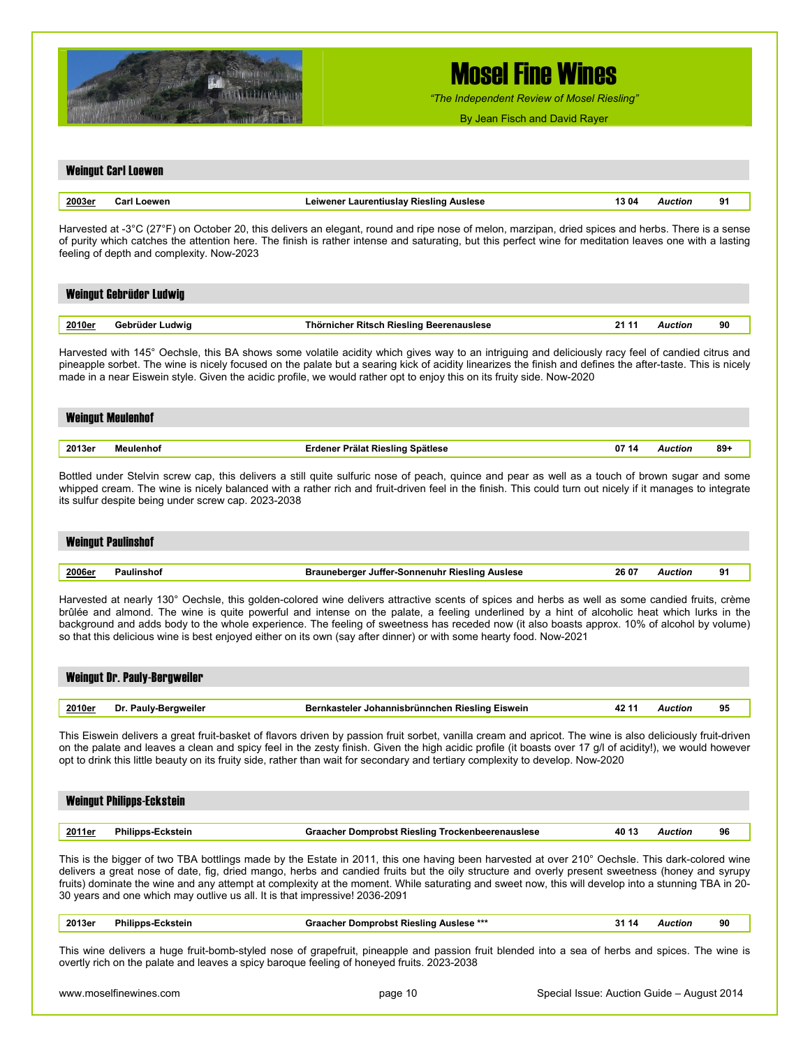

*"The Independent Review of Mosel Riesling"*

| 2003er<br><b>Carl Loewen</b><br>Leiwener Laurentiuslay Riesling Auslese<br>13 04<br><b>Auction</b><br>91<br>Harvested at -3°C (27°F) on October 20, this delivers an elegant, round and ripe nose of melon, marzipan, dried spices and herbs. There is a sense<br>of purity which catches the attention here. The finish is rather intense and saturating, but this perfect wine for meditation leaves one with a lasting<br>feeling of depth and complexity. Now-2023<br>Weingut Gebrüder Ludwig<br>2010er<br>Gebrüder Ludwig<br>Thörnicher Ritsch Riesling Beerenauslese<br>21 11<br><b>Auction</b><br>90<br>Harvested with 145° Oechsle, this BA shows some volatile acidity which gives way to an intriguing and deliciously racy feel of candied citrus and<br>pineapple sorbet. The wine is nicely focused on the palate but a searing kick of acidity linearizes the finish and defines the after-taste. This is nicely<br>made in a near Eiswein style. Given the acidic profile, we would rather opt to enjoy this on its fruity side. Now-2020<br><b>Weingut Meulenhof</b><br>2013er<br>07 14<br>$89+$<br><b>Meulenhof</b><br>Erdener Prälat Riesling Spätlese<br><b>Auction</b><br>Bottled under Stelvin screw cap, this delivers a still quite sulfuric nose of peach, quince and pear as well as a touch of brown sugar and some<br>whipped cream. The wine is nicely balanced with a rather rich and fruit-driven feel in the finish. This could turn out nicely if it manages to integrate<br>its sulfur despite being under screw cap. 2023-2038<br><b>Weingut Paulinshof</b><br>2006er<br><b>Paulinshof</b><br><b>Brauneberger Juffer-Sonnenuhr Riesling Auslese</b><br>26 07<br><b>Auction</b><br>91<br>Harvested at nearly 130° Oechsle, this golden-colored wine delivers attractive scents of spices and herbs as well as some candied fruits, crème<br>brûlée and almond. The wine is quite powerful and intense on the palate, a feeling underlined by a hint of alcoholic heat which lurks in the<br>background and adds body to the whole experience. The feeling of sweetness has receded now (it also boasts approx. 10% of alcohol by volume)<br>so that this delicious wine is best enjoyed either on its own (say after dinner) or with some hearty food. Now-2021<br><b>Weingut Dr. Pauly-Bergweiler</b><br>2010er<br>Dr. Pauly-Bergweiler<br>Bernkasteler Johannisbrünnchen Riesling Eiswein<br>42 11<br><b>Auction</b><br>95<br>This Eiswein delivers a great fruit-basket of flavors driven by passion fruit sorbet, vanilla cream and apricot. The wine is also deliciously fruit-driven<br>on the palate and leaves a clean and spicy feel in the zesty finish. Given the high acidic profile (it boasts over 17 g/l of acidity!), we would however<br>opt to drink this little beauty on its fruity side, rather than wait for secondary and tertiary complexity to develop. Now-2020<br><b>Weingut Philipps-Eckstein</b><br>2011er<br><b>Philipps-Eckstein</b><br><b>Graacher Domprobst Riesling Trockenbeerenauslese</b><br>40 13<br><b>Auction</b><br>96<br>This is the bigger of two TBA bottlings made by the Estate in 2011, this one having been harvested at over 210° Oechsle. This dark-colored wine<br>delivers a great nose of date, fig, dried mango, herbs and candied fruits but the oily structure and overly present sweetness (honey and syrupy<br>fruits) dominate the wine and any attempt at complexity at the moment. While saturating and sweet now, this will develop into a stunning TBA in 20-<br>30 years and one which may outlive us all. It is that impressive! 2036-2091<br>2013er<br><b>Graacher Domprobst Riesling Auslese ***</b><br><b>Philipps-Eckstein</b><br>31 14<br>Auction<br>90<br>This wine delivers a huge fruit-bomb-styled nose of grapefruit, pineapple and passion fruit blended into a sea of herbs and spices. The wine is<br>overtly rich on the palate and leaves a spicy baroque feeling of honeyed fruits. 2023-2038 |  |  |  |
|-----------------------------------------------------------------------------------------------------------------------------------------------------------------------------------------------------------------------------------------------------------------------------------------------------------------------------------------------------------------------------------------------------------------------------------------------------------------------------------------------------------------------------------------------------------------------------------------------------------------------------------------------------------------------------------------------------------------------------------------------------------------------------------------------------------------------------------------------------------------------------------------------------------------------------------------------------------------------------------------------------------------------------------------------------------------------------------------------------------------------------------------------------------------------------------------------------------------------------------------------------------------------------------------------------------------------------------------------------------------------------------------------------------------------------------------------------------------------------------------------------------------------------------------------------------------------------------------------------------------------------------------------------------------------------------------------------------------------------------------------------------------------------------------------------------------------------------------------------------------------------------------------------------------------------------------------------------------------------------------------------------------------------------------------------------------------------------------------------------------------------------------------------------------------------------------------------------------------------------------------------------------------------------------------------------------------------------------------------------------------------------------------------------------------------------------------------------------------------------------------------------------------------------------------------------------------------------------------------------------------------------------------------------------------------------------------------------------------------------------------------------------------------------------------------------------------------------------------------------------------------------------------------------------------------------------------------------------------------------------------------------------------------------------------------------------------------------------------------------------------------------------------------------------------------------------------------------------------------------------------------------------------------------------------------------------------------------------------------------------------------------------------------------------------------------------------------------------------------------------------------------------------------------------------------------------------------------------------------------------------------------------------------------------------------------------------------------------------------------------------------------------------------------------------------------------------------------------------------------------------------------------------------------------------------------------------------------------------------------------------------------------|--|--|--|
|                                                                                                                                                                                                                                                                                                                                                                                                                                                                                                                                                                                                                                                                                                                                                                                                                                                                                                                                                                                                                                                                                                                                                                                                                                                                                                                                                                                                                                                                                                                                                                                                                                                                                                                                                                                                                                                                                                                                                                                                                                                                                                                                                                                                                                                                                                                                                                                                                                                                                                                                                                                                                                                                                                                                                                                                                                                                                                                                                                                                                                                                                                                                                                                                                                                                                                                                                                                                                                                                                                                                                                                                                                                                                                                                                                                                                                                                                                                                                                                                                 |  |  |  |
|                                                                                                                                                                                                                                                                                                                                                                                                                                                                                                                                                                                                                                                                                                                                                                                                                                                                                                                                                                                                                                                                                                                                                                                                                                                                                                                                                                                                                                                                                                                                                                                                                                                                                                                                                                                                                                                                                                                                                                                                                                                                                                                                                                                                                                                                                                                                                                                                                                                                                                                                                                                                                                                                                                                                                                                                                                                                                                                                                                                                                                                                                                                                                                                                                                                                                                                                                                                                                                                                                                                                                                                                                                                                                                                                                                                                                                                                                                                                                                                                                 |  |  |  |
|                                                                                                                                                                                                                                                                                                                                                                                                                                                                                                                                                                                                                                                                                                                                                                                                                                                                                                                                                                                                                                                                                                                                                                                                                                                                                                                                                                                                                                                                                                                                                                                                                                                                                                                                                                                                                                                                                                                                                                                                                                                                                                                                                                                                                                                                                                                                                                                                                                                                                                                                                                                                                                                                                                                                                                                                                                                                                                                                                                                                                                                                                                                                                                                                                                                                                                                                                                                                                                                                                                                                                                                                                                                                                                                                                                                                                                                                                                                                                                                                                 |  |  |  |
|                                                                                                                                                                                                                                                                                                                                                                                                                                                                                                                                                                                                                                                                                                                                                                                                                                                                                                                                                                                                                                                                                                                                                                                                                                                                                                                                                                                                                                                                                                                                                                                                                                                                                                                                                                                                                                                                                                                                                                                                                                                                                                                                                                                                                                                                                                                                                                                                                                                                                                                                                                                                                                                                                                                                                                                                                                                                                                                                                                                                                                                                                                                                                                                                                                                                                                                                                                                                                                                                                                                                                                                                                                                                                                                                                                                                                                                                                                                                                                                                                 |  |  |  |
|                                                                                                                                                                                                                                                                                                                                                                                                                                                                                                                                                                                                                                                                                                                                                                                                                                                                                                                                                                                                                                                                                                                                                                                                                                                                                                                                                                                                                                                                                                                                                                                                                                                                                                                                                                                                                                                                                                                                                                                                                                                                                                                                                                                                                                                                                                                                                                                                                                                                                                                                                                                                                                                                                                                                                                                                                                                                                                                                                                                                                                                                                                                                                                                                                                                                                                                                                                                                                                                                                                                                                                                                                                                                                                                                                                                                                                                                                                                                                                                                                 |  |  |  |
|                                                                                                                                                                                                                                                                                                                                                                                                                                                                                                                                                                                                                                                                                                                                                                                                                                                                                                                                                                                                                                                                                                                                                                                                                                                                                                                                                                                                                                                                                                                                                                                                                                                                                                                                                                                                                                                                                                                                                                                                                                                                                                                                                                                                                                                                                                                                                                                                                                                                                                                                                                                                                                                                                                                                                                                                                                                                                                                                                                                                                                                                                                                                                                                                                                                                                                                                                                                                                                                                                                                                                                                                                                                                                                                                                                                                                                                                                                                                                                                                                 |  |  |  |
|                                                                                                                                                                                                                                                                                                                                                                                                                                                                                                                                                                                                                                                                                                                                                                                                                                                                                                                                                                                                                                                                                                                                                                                                                                                                                                                                                                                                                                                                                                                                                                                                                                                                                                                                                                                                                                                                                                                                                                                                                                                                                                                                                                                                                                                                                                                                                                                                                                                                                                                                                                                                                                                                                                                                                                                                                                                                                                                                                                                                                                                                                                                                                                                                                                                                                                                                                                                                                                                                                                                                                                                                                                                                                                                                                                                                                                                                                                                                                                                                                 |  |  |  |
|                                                                                                                                                                                                                                                                                                                                                                                                                                                                                                                                                                                                                                                                                                                                                                                                                                                                                                                                                                                                                                                                                                                                                                                                                                                                                                                                                                                                                                                                                                                                                                                                                                                                                                                                                                                                                                                                                                                                                                                                                                                                                                                                                                                                                                                                                                                                                                                                                                                                                                                                                                                                                                                                                                                                                                                                                                                                                                                                                                                                                                                                                                                                                                                                                                                                                                                                                                                                                                                                                                                                                                                                                                                                                                                                                                                                                                                                                                                                                                                                                 |  |  |  |
|                                                                                                                                                                                                                                                                                                                                                                                                                                                                                                                                                                                                                                                                                                                                                                                                                                                                                                                                                                                                                                                                                                                                                                                                                                                                                                                                                                                                                                                                                                                                                                                                                                                                                                                                                                                                                                                                                                                                                                                                                                                                                                                                                                                                                                                                                                                                                                                                                                                                                                                                                                                                                                                                                                                                                                                                                                                                                                                                                                                                                                                                                                                                                                                                                                                                                                                                                                                                                                                                                                                                                                                                                                                                                                                                                                                                                                                                                                                                                                                                                 |  |  |  |
|                                                                                                                                                                                                                                                                                                                                                                                                                                                                                                                                                                                                                                                                                                                                                                                                                                                                                                                                                                                                                                                                                                                                                                                                                                                                                                                                                                                                                                                                                                                                                                                                                                                                                                                                                                                                                                                                                                                                                                                                                                                                                                                                                                                                                                                                                                                                                                                                                                                                                                                                                                                                                                                                                                                                                                                                                                                                                                                                                                                                                                                                                                                                                                                                                                                                                                                                                                                                                                                                                                                                                                                                                                                                                                                                                                                                                                                                                                                                                                                                                 |  |  |  |
|                                                                                                                                                                                                                                                                                                                                                                                                                                                                                                                                                                                                                                                                                                                                                                                                                                                                                                                                                                                                                                                                                                                                                                                                                                                                                                                                                                                                                                                                                                                                                                                                                                                                                                                                                                                                                                                                                                                                                                                                                                                                                                                                                                                                                                                                                                                                                                                                                                                                                                                                                                                                                                                                                                                                                                                                                                                                                                                                                                                                                                                                                                                                                                                                                                                                                                                                                                                                                                                                                                                                                                                                                                                                                                                                                                                                                                                                                                                                                                                                                 |  |  |  |
|                                                                                                                                                                                                                                                                                                                                                                                                                                                                                                                                                                                                                                                                                                                                                                                                                                                                                                                                                                                                                                                                                                                                                                                                                                                                                                                                                                                                                                                                                                                                                                                                                                                                                                                                                                                                                                                                                                                                                                                                                                                                                                                                                                                                                                                                                                                                                                                                                                                                                                                                                                                                                                                                                                                                                                                                                                                                                                                                                                                                                                                                                                                                                                                                                                                                                                                                                                                                                                                                                                                                                                                                                                                                                                                                                                                                                                                                                                                                                                                                                 |  |  |  |
|                                                                                                                                                                                                                                                                                                                                                                                                                                                                                                                                                                                                                                                                                                                                                                                                                                                                                                                                                                                                                                                                                                                                                                                                                                                                                                                                                                                                                                                                                                                                                                                                                                                                                                                                                                                                                                                                                                                                                                                                                                                                                                                                                                                                                                                                                                                                                                                                                                                                                                                                                                                                                                                                                                                                                                                                                                                                                                                                                                                                                                                                                                                                                                                                                                                                                                                                                                                                                                                                                                                                                                                                                                                                                                                                                                                                                                                                                                                                                                                                                 |  |  |  |
|                                                                                                                                                                                                                                                                                                                                                                                                                                                                                                                                                                                                                                                                                                                                                                                                                                                                                                                                                                                                                                                                                                                                                                                                                                                                                                                                                                                                                                                                                                                                                                                                                                                                                                                                                                                                                                                                                                                                                                                                                                                                                                                                                                                                                                                                                                                                                                                                                                                                                                                                                                                                                                                                                                                                                                                                                                                                                                                                                                                                                                                                                                                                                                                                                                                                                                                                                                                                                                                                                                                                                                                                                                                                                                                                                                                                                                                                                                                                                                                                                 |  |  |  |
|                                                                                                                                                                                                                                                                                                                                                                                                                                                                                                                                                                                                                                                                                                                                                                                                                                                                                                                                                                                                                                                                                                                                                                                                                                                                                                                                                                                                                                                                                                                                                                                                                                                                                                                                                                                                                                                                                                                                                                                                                                                                                                                                                                                                                                                                                                                                                                                                                                                                                                                                                                                                                                                                                                                                                                                                                                                                                                                                                                                                                                                                                                                                                                                                                                                                                                                                                                                                                                                                                                                                                                                                                                                                                                                                                                                                                                                                                                                                                                                                                 |  |  |  |
|                                                                                                                                                                                                                                                                                                                                                                                                                                                                                                                                                                                                                                                                                                                                                                                                                                                                                                                                                                                                                                                                                                                                                                                                                                                                                                                                                                                                                                                                                                                                                                                                                                                                                                                                                                                                                                                                                                                                                                                                                                                                                                                                                                                                                                                                                                                                                                                                                                                                                                                                                                                                                                                                                                                                                                                                                                                                                                                                                                                                                                                                                                                                                                                                                                                                                                                                                                                                                                                                                                                                                                                                                                                                                                                                                                                                                                                                                                                                                                                                                 |  |  |  |
|                                                                                                                                                                                                                                                                                                                                                                                                                                                                                                                                                                                                                                                                                                                                                                                                                                                                                                                                                                                                                                                                                                                                                                                                                                                                                                                                                                                                                                                                                                                                                                                                                                                                                                                                                                                                                                                                                                                                                                                                                                                                                                                                                                                                                                                                                                                                                                                                                                                                                                                                                                                                                                                                                                                                                                                                                                                                                                                                                                                                                                                                                                                                                                                                                                                                                                                                                                                                                                                                                                                                                                                                                                                                                                                                                                                                                                                                                                                                                                                                                 |  |  |  |
| www.moselfinewines.com<br>page 10<br>Special Issue: Auction Guide – August 2014                                                                                                                                                                                                                                                                                                                                                                                                                                                                                                                                                                                                                                                                                                                                                                                                                                                                                                                                                                                                                                                                                                                                                                                                                                                                                                                                                                                                                                                                                                                                                                                                                                                                                                                                                                                                                                                                                                                                                                                                                                                                                                                                                                                                                                                                                                                                                                                                                                                                                                                                                                                                                                                                                                                                                                                                                                                                                                                                                                                                                                                                                                                                                                                                                                                                                                                                                                                                                                                                                                                                                                                                                                                                                                                                                                                                                                                                                                                                 |  |  |  |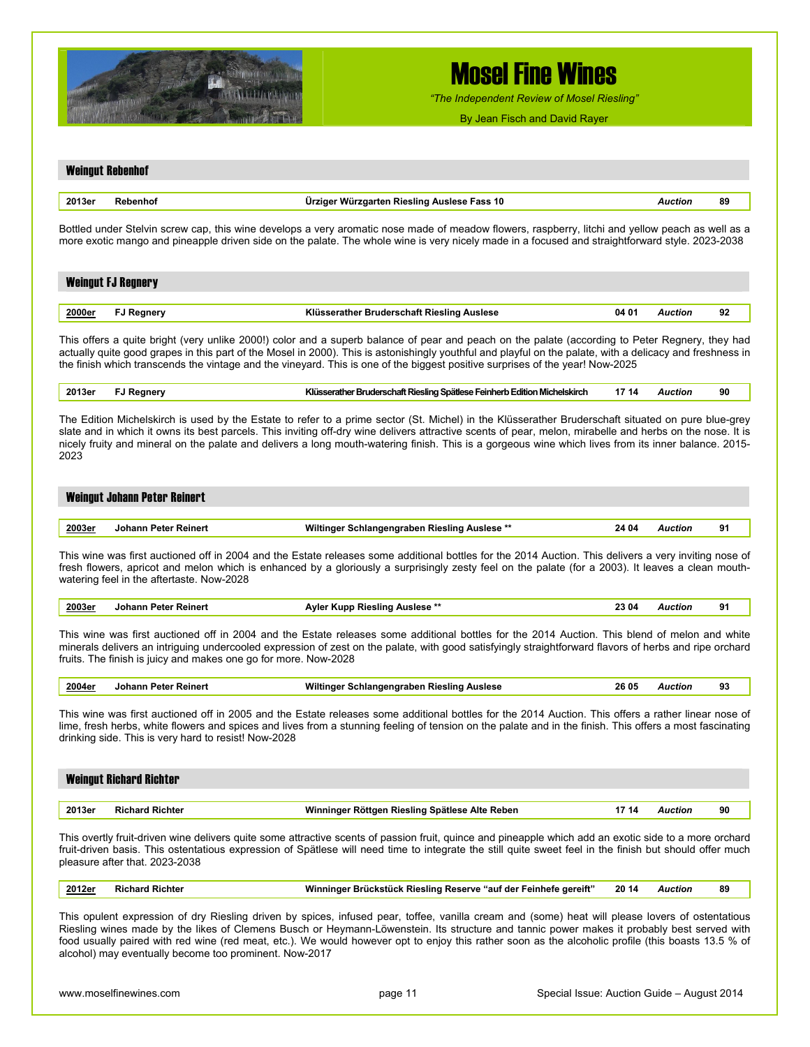

*"The Independent Review of Mosel Riesling"*

By Jean Fisch and David Rayer

|        | <b>Weingut Rebenhof</b>                                         |                                                                                                                                                                                                                                                                                                                                                                                                                                                                         |       |                |    |
|--------|-----------------------------------------------------------------|-------------------------------------------------------------------------------------------------------------------------------------------------------------------------------------------------------------------------------------------------------------------------------------------------------------------------------------------------------------------------------------------------------------------------------------------------------------------------|-------|----------------|----|
| 2013er | Rebenhof                                                        | Ürziger Würzgarten Riesling Auslese Fass 10                                                                                                                                                                                                                                                                                                                                                                                                                             |       | <b>Auction</b> | 89 |
|        |                                                                 | Bottled under Stelvin screw cap, this wine develops a very aromatic nose made of meadow flowers, raspberry, litchi and yellow peach as well as a<br>more exotic mango and pineapple driven side on the palate. The whole wine is very nicely made in a focused and straightforward style. 2023-2038                                                                                                                                                                     |       |                |    |
|        | <b>Weingut FJ Regnery</b>                                       |                                                                                                                                                                                                                                                                                                                                                                                                                                                                         |       |                |    |
| 2000er | <b>FJ Regnery</b>                                               | Klüsserather Bruderschaft Riesling Auslese                                                                                                                                                                                                                                                                                                                                                                                                                              | 04 01 | <b>Auction</b> | 92 |
|        |                                                                 | This offers a quite bright (very unlike 2000!) color and a superb balance of pear and peach on the palate (according to Peter Regnery, they had<br>actually quite good grapes in this part of the Mosel in 2000). This is astonishingly youthful and playful on the palate, with a delicacy and freshness in<br>the finish which transcends the vintage and the vineyard. This is one of the biggest positive surprises of the year! Now-2025                           |       |                |    |
| 2013er | <b>FJ Regnery</b>                                               | Klüsserather Bruderschaft Riesling Spätlese Feinherb Edition Michelskirch                                                                                                                                                                                                                                                                                                                                                                                               | 17 14 | <b>Auction</b> | 90 |
| 2023   |                                                                 | The Edition Michelskirch is used by the Estate to refer to a prime sector (St. Michel) in the Klüsserather Bruderschaft situated on pure blue-grey<br>slate and in which it owns its best parcels. This inviting off-dry wine delivers attractive scents of pear, melon, mirabelle and herbs on the nose. It is<br>nicely fruity and mineral on the palate and delivers a long mouth-watering finish. This is a gorgeous wine which lives from its inner balance. 2015- |       |                |    |
|        | <b>Weingut Johann Peter Reinert</b>                             |                                                                                                                                                                                                                                                                                                                                                                                                                                                                         |       |                |    |
| 2003er | <b>Johann Peter Reinert</b>                                     | Wiltinger Schlangengraben Riesling Auslese **                                                                                                                                                                                                                                                                                                                                                                                                                           | 24 04 | <b>Auction</b> | 91 |
|        | watering feel in the aftertaste. Now-2028                       | This wine was first auctioned off in 2004 and the Estate releases some additional bottles for the 2014 Auction. This delivers a very inviting nose of<br>fresh flowers, apricot and melon which is enhanced by a gloriously a surprisingly zesty feel on the palate (for a 2003). It leaves a clean mouth-                                                                                                                                                              |       |                |    |
| 2003er | <b>Johann Peter Reinert</b>                                     | Ayler Kupp Riesling Auslese **                                                                                                                                                                                                                                                                                                                                                                                                                                          | 23 04 | <b>Auction</b> | 91 |
|        | fruits. The finish is juicy and makes one go for more. Now-2028 | This wine was first auctioned off in 2004 and the Estate releases some additional bottles for the 2014 Auction. This blend of melon and white<br>minerals delivers an intriguing undercooled expression of zest on the palate, with good satisfyingly straightforward flavors of herbs and ripe orchard                                                                                                                                                                 |       |                |    |
| 2004er | Johann Peter Reinert                                            | Wiltinger Schlangengraben Riesling Auslese                                                                                                                                                                                                                                                                                                                                                                                                                              | 26 05 | <b>Auction</b> | 93 |
|        | drinking side. This is very hard to resist! Now-2028            | This wine was first auctioned off in 2005 and the Estate releases some additional bottles for the 2014 Auction. This offers a rather linear nose of<br>lime, fresh herbs, white flowers and spices and lives from a stunning feeling of tension on the palate and in the finish. This offers a most fascinating                                                                                                                                                         |       |                |    |
|        | <b>Weingut Richard Richter</b>                                  |                                                                                                                                                                                                                                                                                                                                                                                                                                                                         |       |                |    |
| 2013er | <b>Richard Richter</b>                                          | Winninger Röttgen Riesling Spätlese Alte Reben                                                                                                                                                                                                                                                                                                                                                                                                                          | 17 14 | <b>Auction</b> | 90 |
|        | pleasure after that. 2023-2038                                  | This overtly fruit-driven wine delivers quite some attractive scents of passion fruit, quince and pineapple which add an exotic side to a more orchard<br>fruit-driven basis. This ostentatious expression of Spätlese will need time to integrate the still quite sweet feel in the finish but should offer much                                                                                                                                                       |       |                |    |
| 2012er | <b>Richard Richter</b>                                          | Winninger Brückstück Riesling Reserve "auf der Feinhefe gereift"                                                                                                                                                                                                                                                                                                                                                                                                        | 20 14 | Auction        | 89 |
|        |                                                                 | This opulent expression of dry Riesling driven by spices, infused pear, toffee, vanilla cream and (some) heat will please lovers of ostentatious<br>Riesling wines made by the likes of Clemens Busch or Heymann-Löwenstein. Its structure and tannic power makes it probably best served with                                                                                                                                                                          |       |                |    |

food usually paired with red wine (red meat, etc.). We would however opt to enjoy this rather soon as the alcoholic profile (this boasts 13.5 % of alcohol) may eventually become too prominent. Now-2017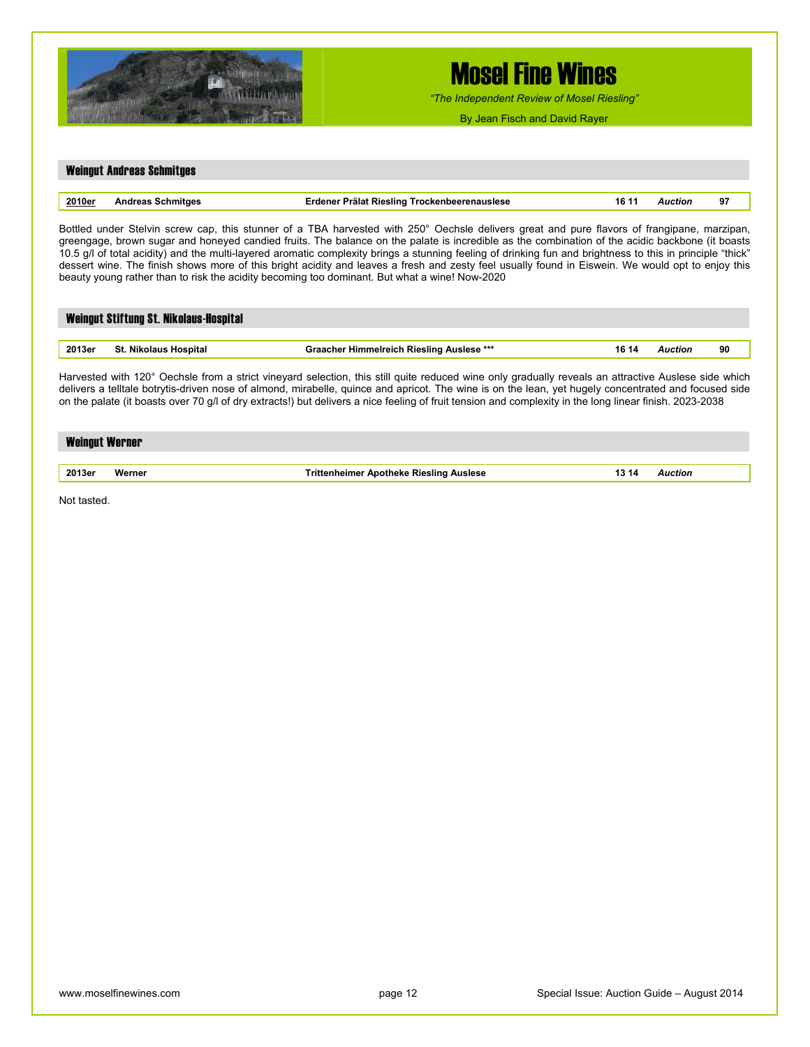

*"The Independent Review of Mosel Riesling"*

By Jean Fisch and David Rayer

### Weingut Andreas Schmitges **2010er Andreas Schmitges Erdener Prälat Riesling Trockenbeerenauslese 16 11** *Auction* **97**  Bottled under Stelvin screw cap, this stunner of a TBA harvested with 250° Oechsle delivers great and pure flavors of frangipane, marzipan, greengage, brown sugar and honeyed candied fruits. The balance on the palate is incredible as the combination of the acidic backbone (it boasts 10.5 g/l of total acidity) and the multi-layered aromatic complexity brings a stunning feeling of drinking fun and brightness to this in principle "thick" dessert wine. The finish shows more of this bright acidity and leaves a fresh and zesty feel usually found in Eiswein. We would opt to enjoy this beauty young rather than to risk the acidity becoming too dominant. But what a wine! Now-2020 Weingut Stiftung St. Nikolaus-Hospital **2013er St. Nikolaus Hospital Graacher Himmelreich Riesling Auslese \*\*\* 16 14** *Auction* **90**  Harvested with 120° Oechsle from a strict vineyard selection, this still quite reduced wine only gradually reveals an attractive Auslese side which delivers a telltale botrytis-driven nose of almond, mirabelle, quince and apricot. The wine is on the lean, yet hugely concentrated and focused side on the palate (it boasts over 70 g/l of dry extracts!) but delivers a nice feeling of fruit tension and complexity in the long linear finish. 2023-2038 Weingut Werner **2013er Werner Trittenheimer Apotheke Riesling Auslese 13 14** *Auction*  Not tasted.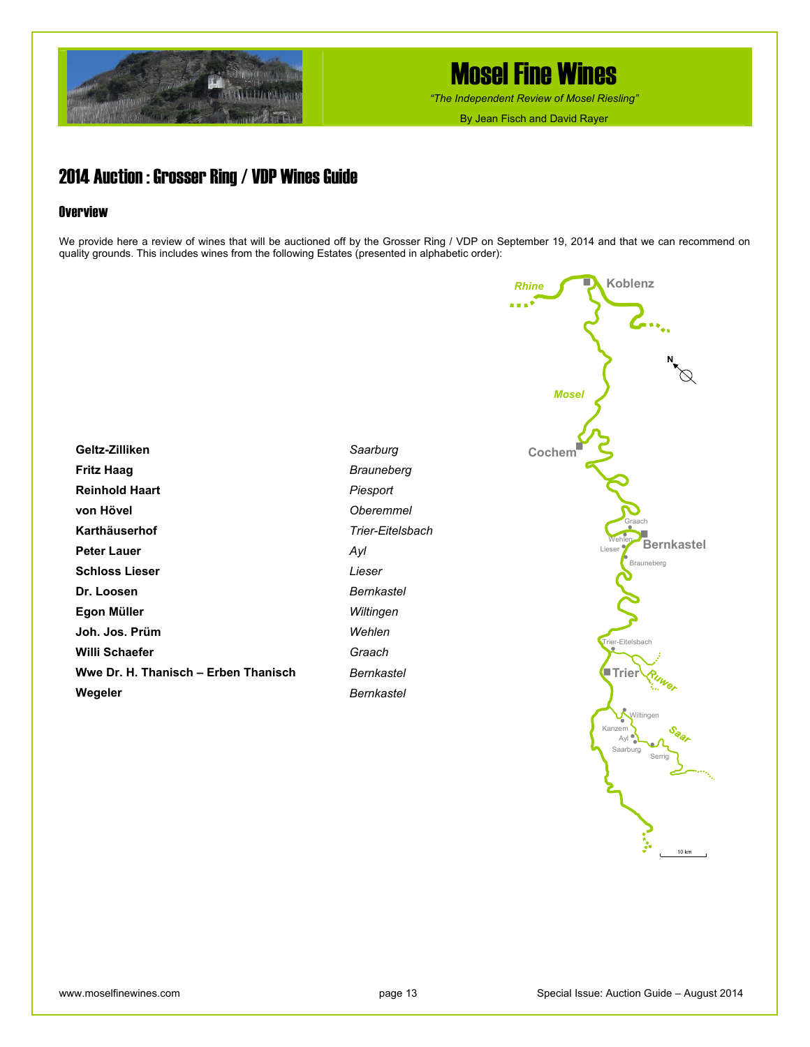

*"The Independent Review of Mosel Riesling"*

By Jean Fisch and David Rayer

### 2014 Auction : Grosser Ring / VDP Wines Guide

#### **Overview**

We provide here a review of wines that will be auctioned off by the Grosser Ring / VDP on September 19, 2014 and that we can recommend on quality grounds. This includes wines from the following Estates (presented in alphabetic order):

| Geltz-Zilliken                       |
|--------------------------------------|
|                                      |
| Fritz Haag                           |
| <b>Reinhold Haart</b>                |
| von Hövel                            |
| Karthäuserhof                        |
| Peter Lauer                          |
| <b>Schloss Lieser</b>                |
| Dr. Loosen                           |
| Egon Müller                          |
| Joh. Jos. Prüm                       |
| Willi Schaefer                       |
| Wwe Dr. H. Thanisch – Erben Thanisch |
| Wegeler                              |

*Saarburg Brauneberg Piesport Oberemmel Trier-Eitelsbach Ayl Lieser Bernkastel Wiltingen Wehlen Graach Bernkastel Bernkastel* 

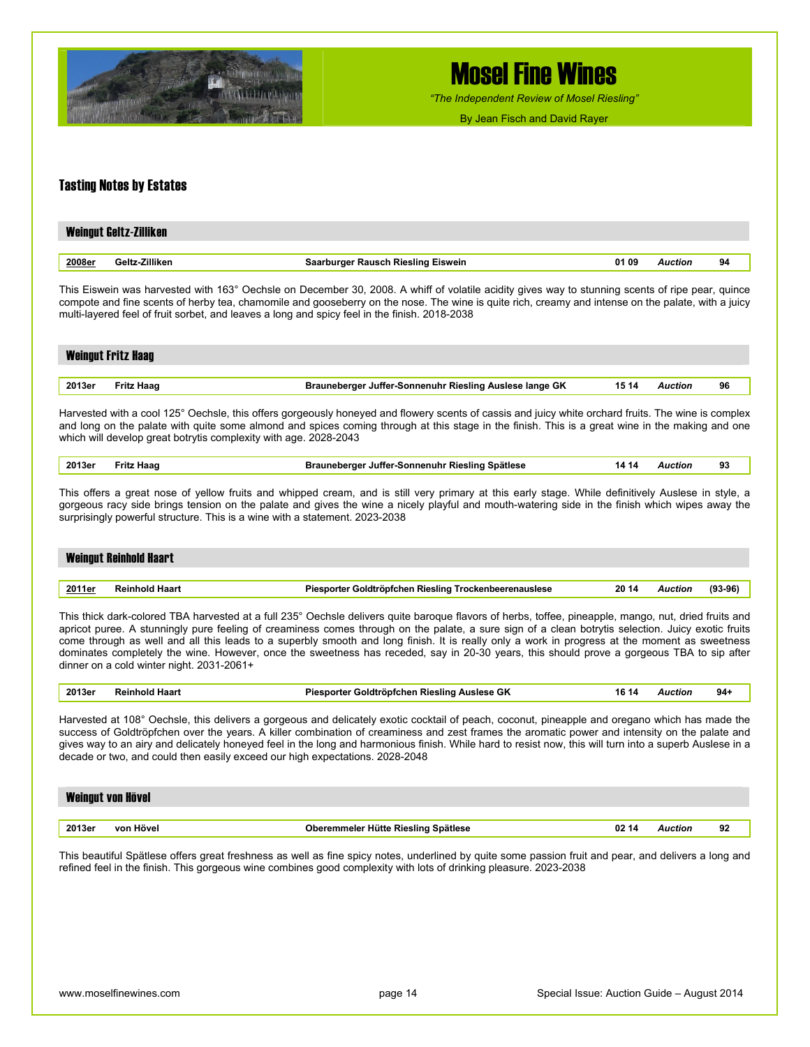

*"The Independent Review of Mosel Riesling"*

By Jean Fisch and David Rayer

#### Tasting Notes by Estates

|        | Weingut Geltz-Zilliken |                                           |       |                |    |
|--------|------------------------|-------------------------------------------|-------|----------------|----|
| 2008er | Geltz-Zilliken         | <b>Saarburger Rausch Riesling Eiswein</b> | 01.09 | <b>Auction</b> | 94 |

This Eiswein was harvested with 163° Oechsle on December 30, 2008. A whiff of volatile acidity gives way to stunning scents of ripe pear, quince compote and fine scents of herby tea, chamomile and gooseberry on the nose. The wine is quite rich, creamy and intense on the palate, with a juicy multi-layered feel of fruit sorbet, and leaves a long and spicy feel in the finish. 2018-2038

### Weingut Fritz Haag **2013er Fritz Haag Brauneberger Juffer-Sonnenuhr Riesling Auslese lange GK 15 14** *Auction* **96**

| Harvested with a cool 125° Oechsle, this offers gorgeously honeyed and flowery scents of cassis and juicy white orchard fruits. The wine is complex |  |  |  |  |  |  |
|-----------------------------------------------------------------------------------------------------------------------------------------------------|--|--|--|--|--|--|
|                                                                                                                                                     |  |  |  |  |  |  |

and long on the palate with quite some almond and spices coming through at this stage in the finish. This is a great wine in the making and one which will develop great botrytis complexity with age. 2028-2043

| 2013er | Haad<br><b>Fritz</b> | auneberger Juffer-Sonnenuhr Riesling Spätlese | 14.<br>14 | Auction | 93 |  |
|--------|----------------------|-----------------------------------------------|-----------|---------|----|--|
|        |                      |                                               |           |         |    |  |

This offers a great nose of yellow fruits and whipped cream, and is still very primary at this early stage. While definitively Auslese in style, a gorgeous racy side brings tension on the palate and gives the wine a nicely playful and mouth-watering side in the finish which wipes away the surprisingly powerful structure. This is a wine with a statement. 2023-2038

# Weingut Reinhold Haart

| 2011er | .<br>7ddi | ס הנ<br><u>I rockenbeerenauslese</u><br>Rieslino<br>iolatl<br>optcnen<br>norter | 20 14 | . . TIOP<br> | 0e<br>эв<br> |
|--------|-----------|---------------------------------------------------------------------------------|-------|--------------|--------------|
|        |           |                                                                                 |       |              |              |

This thick dark-colored TBA harvested at a full 235° Oechsle delivers quite baroque flavors of herbs, toffee, pineapple, mango, nut, dried fruits and apricot puree. A stunningly pure feeling of creaminess comes through on the palate, a sure sign of a clean botrytis selection. Juicy exotic fruits come through as well and all this leads to a superbly smooth and long finish. It is really only a work in progress at the moment as sweetness dominates completely the wine. However, once the sweetness has receded, say in 20-30 years, this should prove a gorgeous TBA to sip after dinner on a cold winter night. 2031-2061+

|  | 2013er | $-222$<br>וחחח<br>naar | $\sim$<br>Riesling<br>Auslese<br>ימו<br>Goldtropfchen<br>$-$ - - - - - - - $-$<br>۰ur | 16<br>14 | Auctior | 94 |  |
|--|--------|------------------------|---------------------------------------------------------------------------------------|----------|---------|----|--|
|--|--------|------------------------|---------------------------------------------------------------------------------------|----------|---------|----|--|

Harvested at 108° Oechsle, this delivers a gorgeous and delicately exotic cocktail of peach, coconut, pineapple and oregano which has made the success of Goldtröpfchen over the years. A killer combination of creaminess and zest frames the aromatic power and intensity on the palate and gives way to an airy and delicately honeyed feel in the long and harmonious finish. While hard to resist now, this will turn into a superb Auslese in a decade or two, and could then easily exceed our high expectations. 2028-2048

|        | Weingut von Hövel |                                              |         |    |
|--------|-------------------|----------------------------------------------|---------|----|
|        |                   |                                              |         |    |
| 2013er | von Hövel         | Oberemmeler Hütte Riesling Spätlese<br>02 14 | Auction | 92 |

This beautiful Spätlese offers great freshness as well as fine spicy notes, underlined by quite some passion fruit and pear, and delivers a long and refined feel in the finish. This gorgeous wine combines good complexity with lots of drinking pleasure. 2023-2038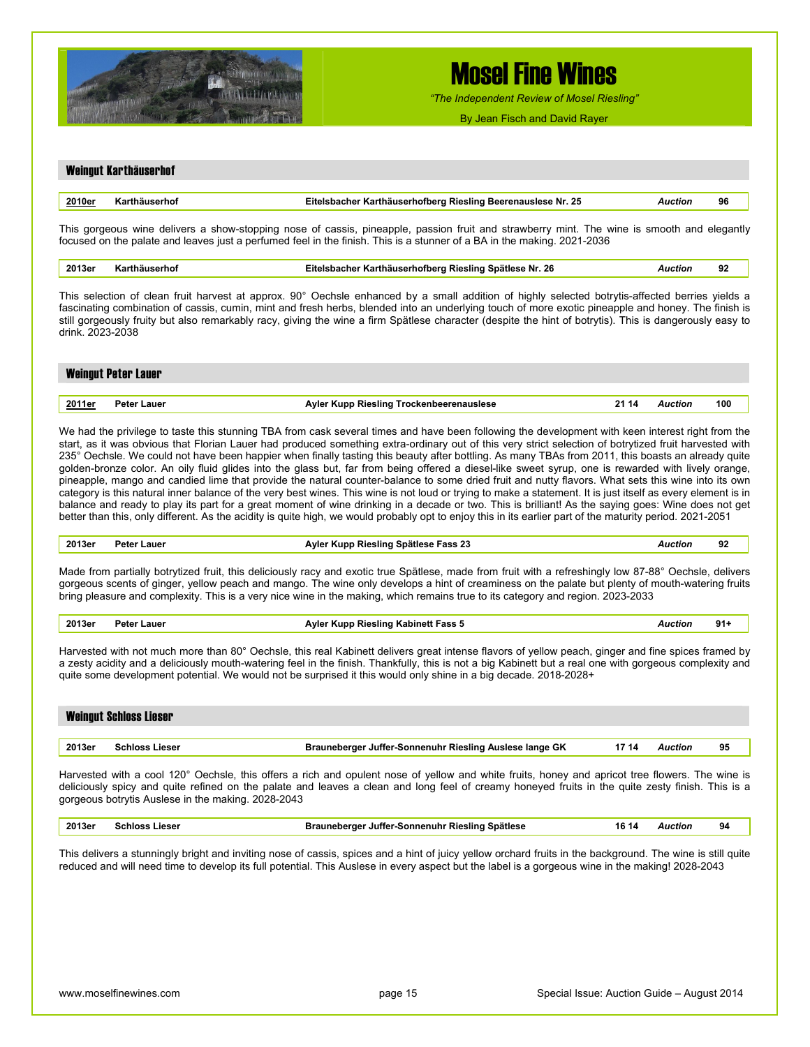

*"The Independent Review of Mosel Riesling"*

By Jean Fisch and David Rayer

### Weingut Karthäuserhof **2010er Karthäuserhof Eitelsbacher Karthäuserhofberg Riesling Beerenauslese Nr. 25** *Auction* **96**  This gorgeous wine delivers a show-stopping nose of cassis, pineapple, passion fruit and strawberry mint. The wine is smooth and elegantly focused on the palate and leaves just a perfumed feel in the finish. This is a stunner of a BA in the making. 2021-2036

**2013er Karthäuserhof Eitelsbacher Karthäuserhofberg Riesling Spätlese Nr. 26** *Auction* **92** 

This selection of clean fruit harvest at approx. 90° Oechsle enhanced by a small addition of highly selected botrytis-affected berries yields a fascinating combination of cassis, cumin, mint and fresh herbs, blended into an underlying touch of more exotic pineapple and honey. The finish is still gorgeously fruity but also remarkably racy, giving the wine a firm Spätlese character (despite the hint of botrytis). This is dangerously easy to drink. 2023-2038

|        | <b>Weingut Peter Lauer</b> |                            |       |     |
|--------|----------------------------|----------------------------|-------|-----|
|        |                            |                            |       |     |
| 2011er | Peter Lauer                | Piesling Trocker<br>' Kupp | 21 14 | 100 |

We had the privilege to taste this stunning TBA from cask several times and have been following the development with keen interest right from the start, as it was obvious that Florian Lauer had produced something extra-ordinary out of this very strict selection of botrytized fruit harvested with 235° Oechsle. We could not have been happier when finally tasting this beauty after bottling. As many TBAs from 2011, this boasts an already quite golden-bronze color. An oily fluid glides into the glass but, far from being offered a diesel-like sweet syrup, one is rewarded with lively orange, pineapple, mango and candied lime that provide the natural counter-balance to some dried fruit and nutty flavors. What sets this wine into its own category is this natural inner balance of the very best wines. This wine is not loud or trying to make a statement. It is just itself as every element is in balance and ready to play its part for a great moment of wine drinking in a decade or two. This is brilliant! As the saying goes: Wine does not get better than this, only different. As the acidity is quite high, we would probably opt to enjoy this in its earlier part of the maturity period. 2021-2051

| 2013er | Peter Lauer | Fass 23<br>≅Riesling Spätlese<br>Avlor<br>Kunn | Auction | 92 |
|--------|-------------|------------------------------------------------|---------|----|
|        |             |                                                |         |    |

Made from partially botrytized fruit, this deliciously racy and exotic true Spätlese, made from fruit with a refreshingly low 87-88° Oechsle, delivers gorgeous scents of ginger, yellow peach and mango. The wine only develops a hint of creaminess on the palate but plenty of mouth-watering fruits bring pleasure and complexity. This is a very nice wine in the making, which remains true to its category and region. 2023-2033

| 2013er<br>. | ∟auer<br>'eter | <b>TERMI</b><br>Rieslino<br>-ass 5<br>Δvic<br><b>*******</b><br>. | . | 91.<br>$\sim$ |
|-------------|----------------|-------------------------------------------------------------------|---|---------------|
|             |                |                                                                   |   |               |

Harvested with not much more than 80° Oechsle, this real Kabinett delivers great intense flavors of yellow peach, ginger and fine spices framed by a zesty acidity and a deliciously mouth-watering feel in the finish. Thankfully, this is not a big Kabinett but a real one with gorgeous complexity and quite some development potential. We would not be surprised it this would only shine in a big decade. 2018-2028+

| 2013er<br>95<br>17 14<br>Brauneberger Juffer-Sonnenuhr Riesling Auslese lange GK<br><b>Schloss Lieser</b><br>Auction | <b>Weingut Schloss Lieser</b> |  |  |
|----------------------------------------------------------------------------------------------------------------------|-------------------------------|--|--|
|                                                                                                                      |                               |  |  |
|                                                                                                                      |                               |  |  |

Harvested with a cool 120° Oechsle, this offers a rich and opulent nose of yellow and white fruits, honey and apricot tree flowers. The wine is deliciously spicy and quite refined on the palate and leaves a clean and long feel of creamy honeyed fruits in the quite zesty finish. This is a gorgeous botrytis Auslese in the making. 2028-2043

| 2013er | .ieser<br>…nioe≏<br>. | <b>Spätlese</b><br><b>Sonnenuhr</b><br>' Rieslina<br>Juffer-°<br>aunenerder<br>--<br>.<br>- - | 16<br>14 | wction<br>. | 94 |
|--------|-----------------------|-----------------------------------------------------------------------------------------------|----------|-------------|----|
|        |                       |                                                                                               |          |             |    |

This delivers a stunningly bright and inviting nose of cassis, spices and a hint of juicy yellow orchard fruits in the background. The wine is still quite reduced and will need time to develop its full potential. This Auslese in every aspect but the label is a gorgeous wine in the making! 2028-2043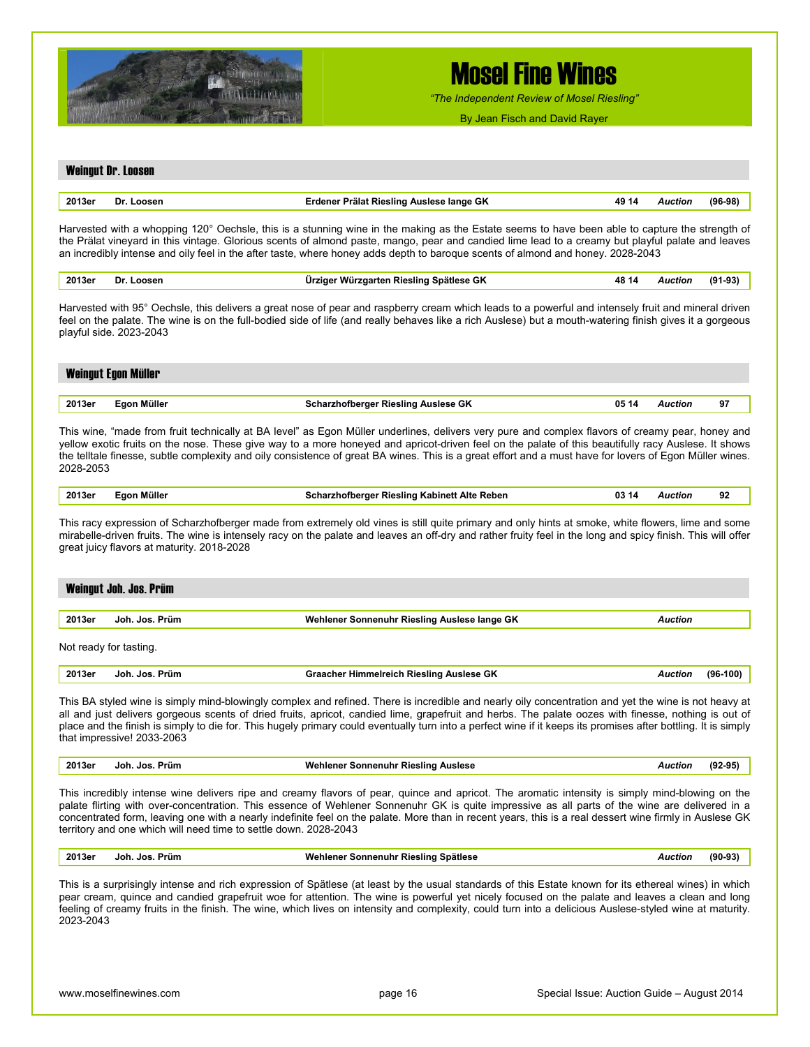

*"The Independent Review of Mosel Riesling"*

By Jean Fisch and David Rayer

#### Weingut Dr. Loosen

| 2013er | Dı | $\sim$<br>,,,,,,,<br>raıa<br>lange GK<br>11 E<br>. |  | ומוז | ഹം |
|--------|----|----------------------------------------------------|--|------|----|
|        |    |                                                    |  |      |    |

Harvested with a whopping 120° Oechsle, this is a stunning wine in the making as the Estate seems to have been able to capture the strength of the Prälat vineyard in this vintage. Glorious scents of almond paste, mango, pear and candied lime lead to a creamy but playful palate and leaves an incredibly intense and oily feel in the after taste, where honey adds depth to baroque scents of almond and honey. 2028-2043

| 2013er | Loosen<br>Dı | 1 Riesling Spätlese GK<br>Ir:<br>∍arten<br>VIII | ,,,, | . | $(91-93)$ |
|--------|--------------|-------------------------------------------------|------|---|-----------|
|        |              |                                                 |      |   |           |

Harvested with 95° Oechsle, this delivers a great nose of pear and raspberry cream which leads to a powerful and intensely fruit and mineral driven feel on the palate. The wine is on the full-bodied side of life (and really behaves like a rich Auslese) but a mouth-watering finish gives it a gorgeous playful side. 2023-2043

## Weingut Egon Müller **2013er Egon Müller Scharzhofberger Riesling Auslese GK 05 14** *Auction* **97**

This wine, "made from fruit technically at BA level" as Egon Müller underlines, delivers very pure and complex flavors of creamy pear, honey and yellow exotic fruits on the nose. These give way to a more honeyed and apricot-driven feel on the palate of this beautifully racy Auslese. It shows the telltale finesse, subtle complexity and oily consistence of great BA wines. This is a great effort and a must have for lovers of Egon Müller wines. 2028-2053

| 92      |
|---------|
| Auction |

This racy expression of Scharzhofberger made from extremely old vines is still quite primary and only hints at smoke, white flowers, lime and some mirabelle-driven fruits. The wine is intensely racy on the palate and leaves an off-dry and rather fruity feel in the long and spicy finish. This will offer great juicy flavors at maturity. 2018-2028

|        | Weingut Joh. Jos. Prüm |                                              |         |  |  |  |  |
|--------|------------------------|----------------------------------------------|---------|--|--|--|--|
| 2013er | Joh. Jos. Prüm         | Wehlener Sonnenuhr Riesling Auslese lange GK | Auction |  |  |  |  |
|        | Not ready for tasting. |                                              |         |  |  |  |  |

| 2013er<br>Himmelreich Riesling Auslese GK<br>496-<br>Prüm<br>Joh.<br>JOS.<br>etion<br>cner<br> | -100 |
|------------------------------------------------------------------------------------------------|------|
|------------------------------------------------------------------------------------------------|------|

This BA styled wine is simply mind-blowingly complex and refined. There is incredible and nearly oily concentration and yet the wine is not heavy at all and just delivers gorgeous scents of dried fruits, apricot, candied lime, grapefruit and herbs. The palate oozes with finesse, nothing is out of place and the finish is simply to die for. This hugely primary could eventually turn into a perfect wine if it keeps its promises after bottling. It is simply that impressive! 2033-2063

| 2013er | Prüm<br>Joh<br>an Jos | <b>Sonnenuhr</b><br><b>Auslese</b><br>""ehlener<br>Riesling<br>. | ction<br>. | . |
|--------|-----------------------|------------------------------------------------------------------|------------|---|
|        |                       |                                                                  |            |   |

This incredibly intense wine delivers ripe and creamy flavors of pear, quince and apricot. The aromatic intensity is simply mind-blowing on the palate flirting with over-concentration. This essence of Wehlener Sonnenuhr GK is quite impressive as all parts of the wine are delivered in a concentrated form, leaving one with a nearly indefinite feel on the palate. More than in recent years, this is a real dessert wine firmly in Auslese GK territory and one which will need time to settle down. 2028-2043

| 2013er | Joh.<br>Jos.<br>Prüm | Wehlener Sonnenuhr Riesling Spätlese | Auction | $(90-93)$ |
|--------|----------------------|--------------------------------------|---------|-----------|
|--------|----------------------|--------------------------------------|---------|-----------|

This is a surprisingly intense and rich expression of Spätlese (at least by the usual standards of this Estate known for its ethereal wines) in which pear cream, quince and candied grapefruit woe for attention. The wine is powerful yet nicely focused on the palate and leaves a clean and long feeling of creamy fruits in the finish. The wine, which lives on intensity and complexity, could turn into a delicious Auslese-styled wine at maturity. 2023-2043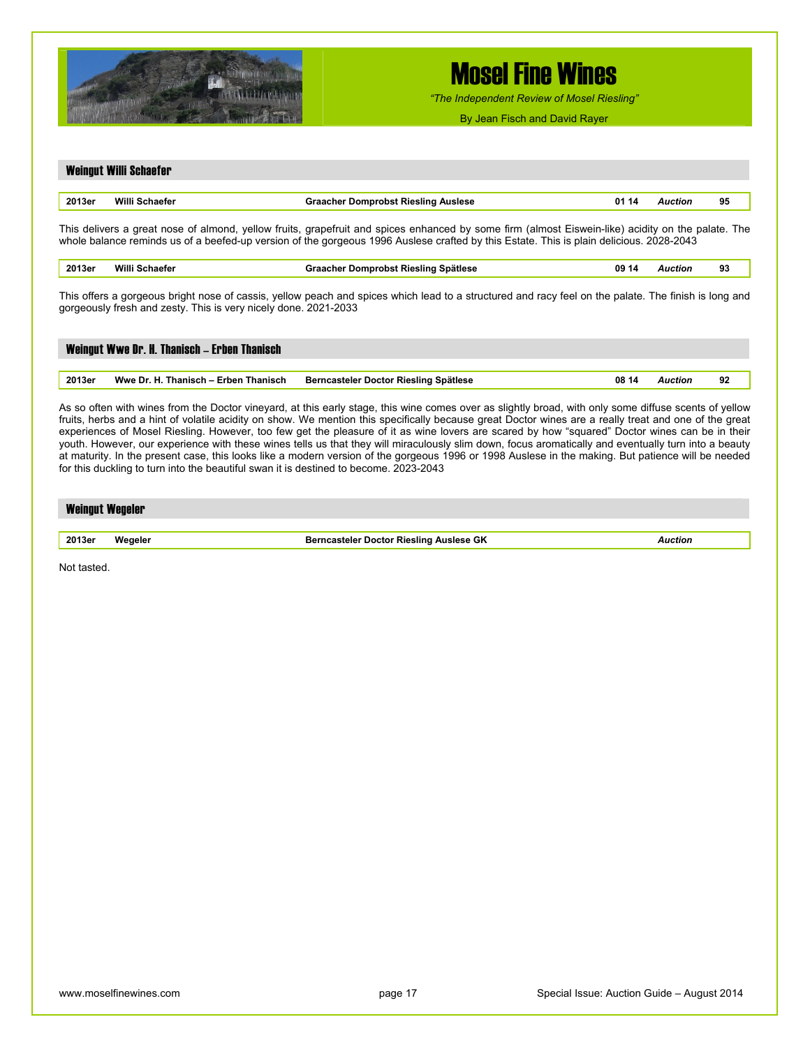

for this duckling to turn into the beautiful swan it is destined to become. 2023-2043

Weingut Willi Schaefer

# Mosel Fine Wines

*"The Independent Review of Mosel Riesling"*

By Jean Fisch and David Rayer

|        | <b>MAILING CALLES AND SCILLER AND SET</b>                       |                                                                                                                                                                                                                                                                                              |       |                |    |
|--------|-----------------------------------------------------------------|----------------------------------------------------------------------------------------------------------------------------------------------------------------------------------------------------------------------------------------------------------------------------------------------|-------|----------------|----|
| 2013er | Willi Schaefer                                                  | <b>Graacher Domprobst Riesling Auslese</b>                                                                                                                                                                                                                                                   | 01 14 | <b>Auction</b> | 95 |
|        |                                                                 | This delivers a great nose of almond, yellow fruits, grapefruit and spices enhanced by some firm (almost Eiswein-like) acidity on the palate. The<br>whole balance reminds us of a beefed-up version of the gorgeous 1996 Auslese crafted by this Estate. This is plain delicious. 2028-2043 |       |                |    |
| 2013er | Willi Schaefer                                                  | Graacher Domprobst Riesling Spätlese                                                                                                                                                                                                                                                         | 09 14 | <b>Auction</b> | 93 |
|        | gorgeously fresh and zesty. This is very nicely done. 2021-2033 | This offers a gorgeous bright nose of cassis, yellow peach and spices which lead to a structured and racy feel on the palate. The finish is long and                                                                                                                                         |       |                |    |
|        | Weingut Wwe Dr. H. Thanisch - Erben Thanisch                    |                                                                                                                                                                                                                                                                                              |       |                |    |
| 2013er | Wwe Dr. H. Thanisch – Erben Thanisch                            | Berncasteler Doctor Riesling Spätlese                                                                                                                                                                                                                                                        | 08 14 | <b>Auction</b> | 92 |

As so often with wines from the Doctor vineyard, at this early stage, this wine comes over as slightly broad, with only some diffuse scents of yellow fruits, herbs and a hint of volatile acidity on show. We mention this specifically because great Doctor wines are a really treat and one of the great experiences of Mosel Riesling. However, too few get the pleasure of it as wine lovers are scared by how "squared" Doctor wines can be in their youth. However, our experience with these wines tells us that they will miraculously slim down, focus aromatically and eventually turn into a beauty at maturity. In the present case, this looks like a modern version of the gorgeous 1996 or 1998 Auslese in the making. But patience will be needed

| <b>Weingut Wegeler</b> |  |  |  |
|------------------------|--|--|--|
|                        |  |  |  |

**2013er Wegeler Berncasteler Doctor Riesling Auslese GK** *Auction* 

Not tasted.